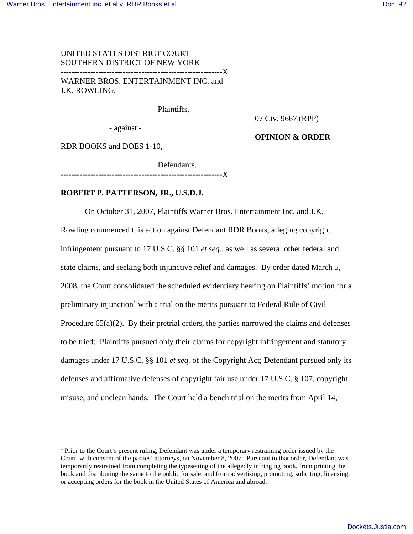UNITED STATES DISTRICT COURT SOUTHERN DISTRICT OF NEW YORK ------------------------------------------------------------X WARNER BROS. ENTERTAINMENT INC. and J.K. ROWLING,

Plaintiffs,

07 Civ. 9667 (RPP)

- against -

**OPINION & ORDER** 

RDR BOOKS and DOES 1-10,

1

 Defendants. ------------------------------------------------------------X

# **ROBERT P. PATTERSON, JR., U.S.D.J.**

On October 31, 2007, Plaintiffs Warner Bros. Entertainment Inc. and J.K.

Rowling commenced this action against Defendant RDR Books, alleging copyright infringement pursuant to 17 U.S.C. §§ 101 *et seq.*, as well as several other federal and state claims, and seeking both injunctive relief and damages. By order dated March 5, 2008, the Court consolidated the scheduled evidentiary hearing on Plaintiffs' motion for a preliminary injunction<sup>1</sup> with a trial on the merits pursuant to Federal Rule of Civil Procedure  $65(a)(2)$ . By their pretrial orders, the parties narrowed the claims and defenses to be tried: Plaintiffs pursued only their claims for copyright infringement and statutory damages under 17 U.S.C. §§ 101 *et seq.* of the Copyright Act; Defendant pursued only its defenses and affirmative defenses of copyright fair use under 17 U.S.C. § 107, copyright misuse, and unclean hands. The Court held a bench trial on the merits from April 14,

 $1$  Prior to the Court's present ruling, Defendant was under a temporary restraining order issued by the Court, with consent of the parties' attorneys, on November 8, 2007. Pursuant to that order, Defendant was temporarily restrained from completing the typesetting of the allegedly infringing book, from printing the book and distributing the same to the public for sale, and from advertising, promoting, soliciting, licensing, or accepting orders for the book in the United States of America and abroad.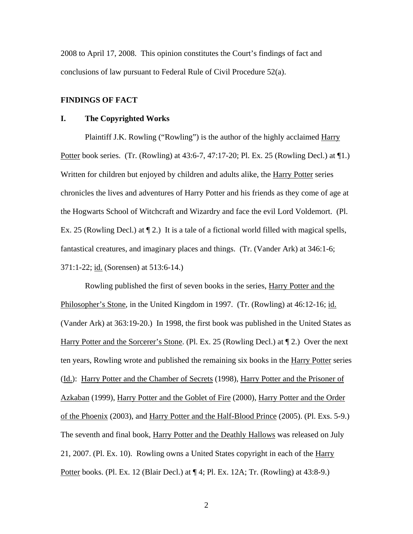2008 to April 17, 2008. This opinion constitutes the Court's findings of fact and conclusions of law pursuant to Federal Rule of Civil Procedure 52(a).

# **FINDINGS OF FACT**

# **I. The Copyrighted Works**

Plaintiff J.K. Rowling ("Rowling") is the author of the highly acclaimed Harry Potter book series. (Tr. (Rowling) at 43:6-7, 47:17-20; Pl. Ex. 25 (Rowling Decl.) at ¶1.) Written for children but enjoyed by children and adults alike, the Harry Potter series chronicles the lives and adventures of Harry Potter and his friends as they come of age at the Hogwarts School of Witchcraft and Wizardry and face the evil Lord Voldemort. (Pl. Ex. 25 (Rowling Decl.) at  $\P$  2.) It is a tale of a fictional world filled with magical spells, fantastical creatures, and imaginary places and things. (Tr. (Vander Ark) at 346:1-6; 371:1-22; id. (Sorensen) at 513:6-14.)

Rowling published the first of seven books in the series, Harry Potter and the Philosopher's Stone, in the United Kingdom in 1997. (Tr. (Rowling) at 46:12-16; id. (Vander Ark) at 363:19-20.) In 1998, the first book was published in the United States as Harry Potter and the Sorcerer's Stone. (Pl. Ex. 25 (Rowling Decl.) at ¶ 2.) Over the next ten years, Rowling wrote and published the remaining six books in the Harry Potter series (Id.): Harry Potter and the Chamber of Secrets (1998), Harry Potter and the Prisoner of Azkaban (1999), Harry Potter and the Goblet of Fire (2000), Harry Potter and the Order of the Phoenix (2003), and Harry Potter and the Half-Blood Prince (2005). (Pl. Exs. 5-9.) The seventh and final book, Harry Potter and the Deathly Hallows was released on July 21, 2007. (Pl. Ex. 10). Rowling owns a United States copyright in each of the Harry Potter books. (Pl. Ex. 12 (Blair Decl.) at ¶ 4; Pl. Ex. 12A; Tr. (Rowling) at 43:8-9.)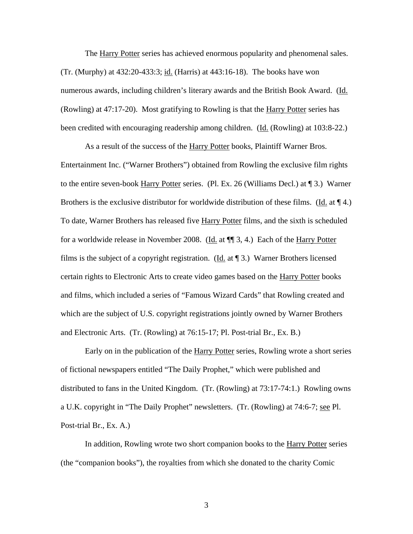The Harry Potter series has achieved enormous popularity and phenomenal sales. (Tr. (Murphy) at 432:20-433:3; id. (Harris) at 443:16-18). The books have won numerous awards, including children's literary awards and the British Book Award. (Id. (Rowling) at 47:17-20). Most gratifying to Rowling is that the Harry Potter series has been credited with encouraging readership among children. (Id. (Rowling) at 103:8-22.)

As a result of the success of the Harry Potter books, Plaintiff Warner Bros. Entertainment Inc. ("Warner Brothers") obtained from Rowling the exclusive film rights to the entire seven-book Harry Potter series. (Pl. Ex. 26 (Williams Decl.) at ¶ 3.) Warner Brothers is the exclusive distributor for worldwide distribution of these films. (Id. at  $\P$ 4.) To date, Warner Brothers has released five Harry Potter films, and the sixth is scheduled for a worldwide release in November 2008. (Id. at  $\P$  3, 4.) Each of the Harry Potter films is the subject of a copyright registration. (Id. at  $\P$  3.) Warner Brothers licensed certain rights to Electronic Arts to create video games based on the Harry Potter books and films, which included a series of "Famous Wizard Cards" that Rowling created and which are the subject of U.S. copyright registrations jointly owned by Warner Brothers and Electronic Arts. (Tr. (Rowling) at 76:15-17; Pl. Post-trial Br., Ex. B.)

Early on in the publication of the Harry Potter series, Rowling wrote a short series of fictional newspapers entitled "The Daily Prophet," which were published and distributed to fans in the United Kingdom. (Tr. (Rowling) at 73:17-74:1.) Rowling owns a U.K. copyright in "The Daily Prophet" newsletters. (Tr. (Rowling) at 74:6-7; see Pl. Post-trial Br., Ex. A.)

In addition, Rowling wrote two short companion books to the Harry Potter series (the "companion books"), the royalties from which she donated to the charity Comic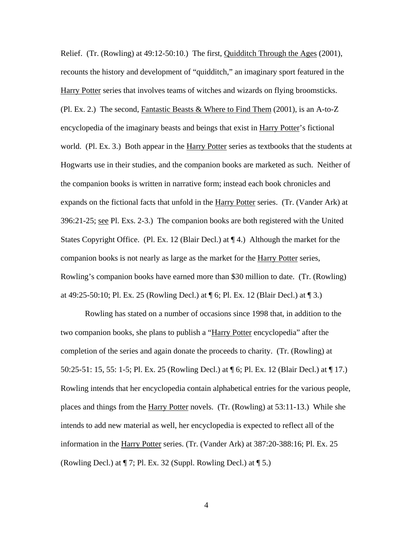Relief. (Tr. (Rowling) at 49:12-50:10.) The first, Quidditch Through the Ages (2001), recounts the history and development of "quidditch," an imaginary sport featured in the Harry Potter series that involves teams of witches and wizards on flying broomsticks. (Pl. Ex. 2.) The second, Fantastic Beasts & Where to Find Them (2001), is an A-to-Z encyclopedia of the imaginary beasts and beings that exist in Harry Potter's fictional world. (Pl. Ex. 3.) Both appear in the Harry Potter series as textbooks that the students at Hogwarts use in their studies, and the companion books are marketed as such. Neither of the companion books is written in narrative form; instead each book chronicles and expands on the fictional facts that unfold in the Harry Potter series. (Tr. (Vander Ark) at 396:21-25; see Pl. Exs. 2-3.) The companion books are both registered with the United States Copyright Office. (Pl. Ex. 12 (Blair Decl.) at  $\P$  4.) Although the market for the companion books is not nearly as large as the market for the Harry Potter series, Rowling's companion books have earned more than \$30 million to date. (Tr. (Rowling) at 49:25-50:10; Pl. Ex. 25 (Rowling Decl.) at ¶ 6; Pl. Ex. 12 (Blair Decl.) at ¶ 3.)

Rowling has stated on a number of occasions since 1998 that, in addition to the two companion books, she plans to publish a "Harry Potter encyclopedia" after the completion of the series and again donate the proceeds to charity. (Tr. (Rowling) at 50:25-51: 15, 55: 1-5; Pl. Ex. 25 (Rowling Decl.) at ¶ 6; Pl. Ex. 12 (Blair Decl.) at ¶ 17.) Rowling intends that her encyclopedia contain alphabetical entries for the various people, places and things from the Harry Potter novels. (Tr. (Rowling) at 53:11-13.) While she intends to add new material as well, her encyclopedia is expected to reflect all of the information in the Harry Potter series. (Tr. (Vander Ark) at 387:20-388:16; Pl. Ex. 25 (Rowling Decl.) at ¶ 7; Pl. Ex. 32 (Suppl. Rowling Decl.) at ¶ 5.)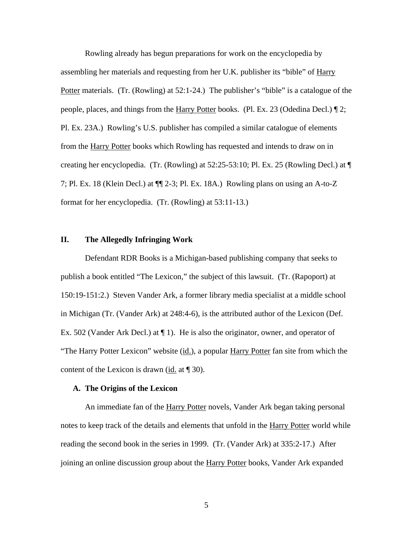Rowling already has begun preparations for work on the encyclopedia by assembling her materials and requesting from her U.K. publisher its "bible" of Harry Potter materials. (Tr. (Rowling) at 52:1-24.) The publisher's "bible" is a catalogue of the people, places, and things from the Harry Potter books. (Pl. Ex. 23 (Odedina Decl.) ¶ 2; Pl. Ex. 23A.) Rowling's U.S. publisher has compiled a similar catalogue of elements from the Harry Potter books which Rowling has requested and intends to draw on in creating her encyclopedia. (Tr. (Rowling) at 52:25-53:10; Pl. Ex. 25 (Rowling Decl.) at ¶ 7; Pl. Ex. 18 (Klein Decl.) at ¶¶ 2-3; Pl. Ex. 18A.) Rowling plans on using an A-to-Z format for her encyclopedia. (Tr. (Rowling) at 53:11-13.)

#### **II. The Allegedly Infringing Work**

Defendant RDR Books is a Michigan-based publishing company that seeks to publish a book entitled "The Lexicon," the subject of this lawsuit. (Tr. (Rapoport) at 150:19-151:2.) Steven Vander Ark, a former library media specialist at a middle school in Michigan (Tr. (Vander Ark) at 248:4-6), is the attributed author of the Lexicon (Def. Ex. 502 (Vander Ark Decl.) at ¶ 1). He is also the originator, owner, and operator of "The Harry Potter Lexicon" website (id.), a popular Harry Potter fan site from which the content of the Lexicon is drawn (id. at ¶ 30).

#### **A. The Origins of the Lexicon**

 An immediate fan of the Harry Potter novels, Vander Ark began taking personal notes to keep track of the details and elements that unfold in the Harry Potter world while reading the second book in the series in 1999. (Tr. (Vander Ark) at 335:2-17.) After joining an online discussion group about the Harry Potter books, Vander Ark expanded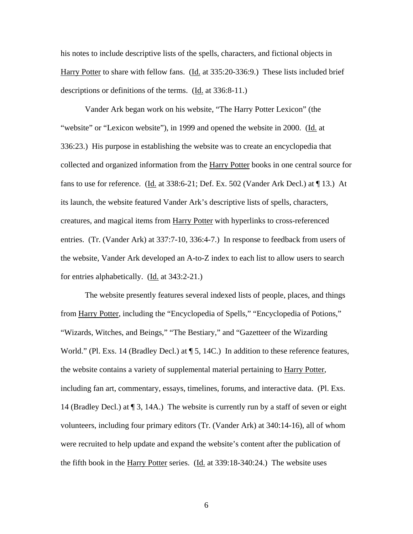his notes to include descriptive lists of the spells, characters, and fictional objects in Harry Potter to share with fellow fans. (Id. at 335:20-336:9.) These lists included brief descriptions or definitions of the terms. (Id. at 336:8-11.)

Vander Ark began work on his website, "The Harry Potter Lexicon" (the "website" or "Lexicon website"), in 1999 and opened the website in 2000. (Id. at 336:23.) His purpose in establishing the website was to create an encyclopedia that collected and organized information from the Harry Potter books in one central source for fans to use for reference. (Id. at 338:6-21; Def. Ex. 502 (Vander Ark Decl.) at ¶ 13.) At its launch, the website featured Vander Ark's descriptive lists of spells, characters, creatures, and magical items from Harry Potter with hyperlinks to cross-referenced entries. (Tr. (Vander Ark) at 337:7-10, 336:4-7.) In response to feedback from users of the website, Vander Ark developed an A-to-Z index to each list to allow users to search for entries alphabetically. (Id. at 343:2-21.)

The website presently features several indexed lists of people, places, and things from Harry Potter, including the "Encyclopedia of Spells," "Encyclopedia of Potions," "Wizards, Witches, and Beings," "The Bestiary," and "Gazetteer of the Wizarding World." (Pl. Exs. 14 (Bradley Decl.) at  $\P$  5, 14C.) In addition to these reference features, the website contains a variety of supplemental material pertaining to Harry Potter, including fan art, commentary, essays, timelines, forums, and interactive data. (Pl. Exs. 14 (Bradley Decl.) at ¶ 3, 14A.) The website is currently run by a staff of seven or eight volunteers, including four primary editors (Tr. (Vander Ark) at 340:14-16), all of whom were recruited to help update and expand the website's content after the publication of the fifth book in the Harry Potter series. (Id. at 339:18-340:24.) The website uses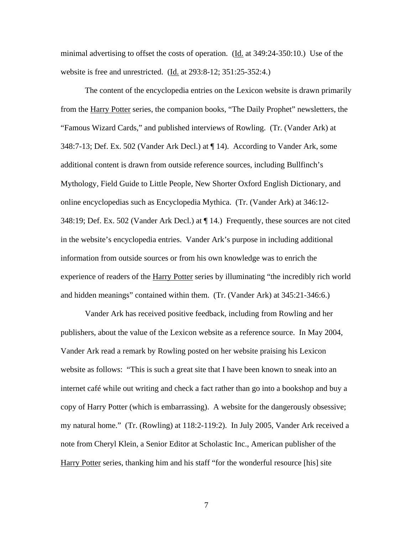minimal advertising to offset the costs of operation. (Id. at 349:24-350:10.) Use of the website is free and unrestricted. (Id. at 293:8-12; 351:25-352:4.)

The content of the encyclopedia entries on the Lexicon website is drawn primarily from the Harry Potter series, the companion books, "The Daily Prophet" newsletters, the "Famous Wizard Cards," and published interviews of Rowling. (Tr. (Vander Ark) at 348:7-13; Def. Ex. 502 (Vander Ark Decl.) at ¶ 14). According to Vander Ark, some additional content is drawn from outside reference sources, including Bullfinch's Mythology, Field Guide to Little People, New Shorter Oxford English Dictionary, and online encyclopedias such as Encyclopedia Mythica. (Tr. (Vander Ark) at 346:12- 348:19; Def. Ex. 502 (Vander Ark Decl.) at ¶ 14.) Frequently, these sources are not cited in the website's encyclopedia entries. Vander Ark's purpose in including additional information from outside sources or from his own knowledge was to enrich the experience of readers of the Harry Potter series by illuminating "the incredibly rich world and hidden meanings" contained within them. (Tr. (Vander Ark) at 345:21-346:6.)

 Vander Ark has received positive feedback, including from Rowling and her publishers, about the value of the Lexicon website as a reference source. In May 2004, Vander Ark read a remark by Rowling posted on her website praising his Lexicon website as follows: "This is such a great site that I have been known to sneak into an internet café while out writing and check a fact rather than go into a bookshop and buy a copy of Harry Potter (which is embarrassing). A website for the dangerously obsessive; my natural home." (Tr. (Rowling) at 118:2-119:2). In July 2005, Vander Ark received a note from Cheryl Klein, a Senior Editor at Scholastic Inc., American publisher of the Harry Potter series, thanking him and his staff "for the wonderful resource [his] site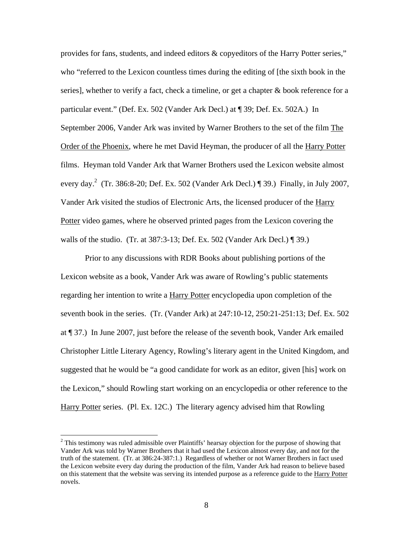provides for fans, students, and indeed editors & copyeditors of the Harry Potter series," who "referred to the Lexicon countless times during the editing of [the sixth book in the series], whether to verify a fact, check a timeline, or get a chapter & book reference for a particular event." (Def. Ex. 502 (Vander Ark Decl.) at ¶ 39; Def. Ex. 502A.) In September 2006, Vander Ark was invited by Warner Brothers to the set of the film The Order of the Phoenix, where he met David Heyman, the producer of all the Harry Potter films. Heyman told Vander Ark that Warner Brothers used the Lexicon website almost every day.<sup>2</sup> (Tr. 386:8-20; Def. Ex. 502 (Vander Ark Decl.) [39.) Finally, in July 2007, Vander Ark visited the studios of Electronic Arts, the licensed producer of the Harry Potter video games, where he observed printed pages from the Lexicon covering the walls of the studio. (Tr. at 387:3-13; Def. Ex. 502 (Vander Ark Decl.) ¶ 39.)

Prior to any discussions with RDR Books about publishing portions of the Lexicon website as a book, Vander Ark was aware of Rowling's public statements regarding her intention to write a Harry Potter encyclopedia upon completion of the seventh book in the series. (Tr. (Vander Ark) at 247:10-12, 250:21-251:13; Def. Ex. 502 at ¶ 37.) In June 2007, just before the release of the seventh book, Vander Ark emailed Christopher Little Literary Agency, Rowling's literary agent in the United Kingdom, and suggested that he would be "a good candidate for work as an editor, given [his] work on the Lexicon," should Rowling start working on an encyclopedia or other reference to the Harry Potter series. (Pl. Ex. 12C.) The literary agency advised him that Rowling

 $\overline{a}$ 

 $2^2$  This testimony was ruled admissible over Plaintiffs' hearsay objection for the purpose of showing that Vander Ark was told by Warner Brothers that it had used the Lexicon almost every day, and not for the truth of the statement. (Tr. at 386:24-387:1.) Regardless of whether or not Warner Brothers in fact used the Lexicon website every day during the production of the film, Vander Ark had reason to believe based on this statement that the website was serving its intended purpose as a reference guide to the Harry Potter novels.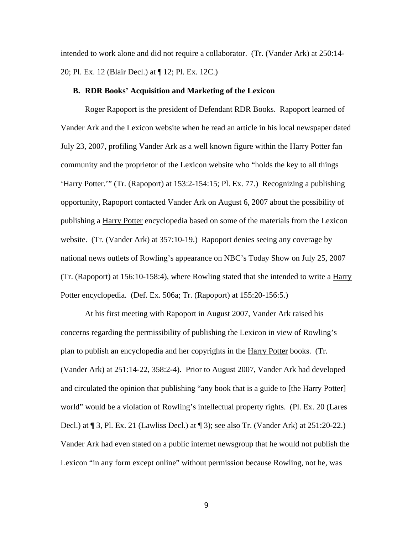intended to work alone and did not require a collaborator. (Tr. (Vander Ark) at 250:14- 20; Pl. Ex. 12 (Blair Decl.) at ¶ 12; Pl. Ex. 12C.)

#### **B. RDR Books' Acquisition and Marketing of the Lexicon**

Roger Rapoport is the president of Defendant RDR Books. Rapoport learned of Vander Ark and the Lexicon website when he read an article in his local newspaper dated July 23, 2007, profiling Vander Ark as a well known figure within the Harry Potter fan community and the proprietor of the Lexicon website who "holds the key to all things 'Harry Potter.'" (Tr. (Rapoport) at 153:2-154:15; Pl. Ex. 77.) Recognizing a publishing opportunity, Rapoport contacted Vander Ark on August 6, 2007 about the possibility of publishing a Harry Potter encyclopedia based on some of the materials from the Lexicon website. (Tr. (Vander Ark) at 357:10-19.) Rapoport denies seeing any coverage by national news outlets of Rowling's appearance on NBC's Today Show on July 25, 2007 (Tr. (Rapoport) at 156:10-158:4), where Rowling stated that she intended to write a Harry Potter encyclopedia. (Def. Ex. 506a; Tr. (Rapoport) at 155:20-156:5.)

At his first meeting with Rapoport in August 2007, Vander Ark raised his concerns regarding the permissibility of publishing the Lexicon in view of Rowling's plan to publish an encyclopedia and her copyrights in the Harry Potter books. (Tr. (Vander Ark) at 251:14-22, 358:2-4). Prior to August 2007, Vander Ark had developed and circulated the opinion that publishing "any book that is a guide to [the Harry Potter] world" would be a violation of Rowling's intellectual property rights. (Pl. Ex. 20 (Lares Decl.) at ¶ 3, Pl. Ex. 21 (Lawliss Decl.) at ¶ 3); see also Tr. (Vander Ark) at 251:20-22.) Vander Ark had even stated on a public internet newsgroup that he would not publish the Lexicon "in any form except online" without permission because Rowling, not he, was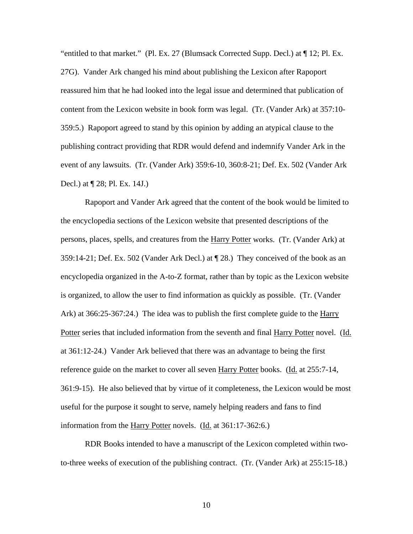"entitled to that market." (Pl. Ex. 27 (Blumsack Corrected Supp. Decl.) at ¶ 12; Pl. Ex. 27G). Vander Ark changed his mind about publishing the Lexicon after Rapoport reassured him that he had looked into the legal issue and determined that publication of content from the Lexicon website in book form was legal. (Tr. (Vander Ark) at 357:10- 359:5.) Rapoport agreed to stand by this opinion by adding an atypical clause to the publishing contract providing that RDR would defend and indemnify Vander Ark in the event of any lawsuits. (Tr. (Vander Ark) 359:6-10, 360:8-21; Def. Ex. 502 (Vander Ark Decl.) at ¶ 28; Pl. Ex. 14J.)

Rapoport and Vander Ark agreed that the content of the book would be limited to the encyclopedia sections of the Lexicon website that presented descriptions of the persons, places, spells, and creatures from the Harry Potter works. (Tr. (Vander Ark) at 359:14-21; Def. Ex. 502 (Vander Ark Decl.) at ¶ 28.) They conceived of the book as an encyclopedia organized in the A-to-Z format, rather than by topic as the Lexicon website is organized, to allow the user to find information as quickly as possible. (Tr. (Vander Ark) at 366:25-367:24.) The idea was to publish the first complete guide to the Harry Potter series that included information from the seventh and final Harry Potter novel. (Id. at 361:12-24.) Vander Ark believed that there was an advantage to being the first reference guide on the market to cover all seven Harry Potter books. (Id. at 255:7-14, 361:9-15). He also believed that by virtue of it completeness, the Lexicon would be most useful for the purpose it sought to serve, namely helping readers and fans to find information from the Harry Potter novels. (Id. at 361:17-362:6.)

RDR Books intended to have a manuscript of the Lexicon completed within twoto-three weeks of execution of the publishing contract. (Tr. (Vander Ark) at 255:15-18.)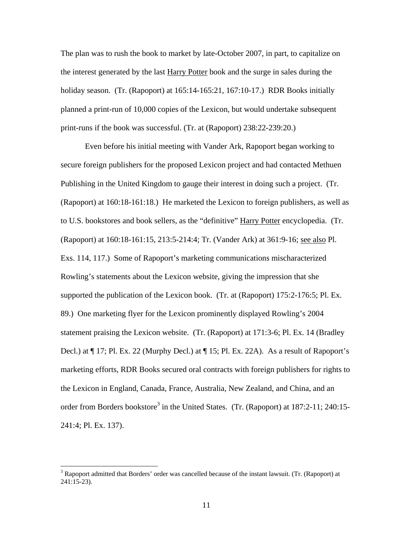The plan was to rush the book to market by late-October 2007, in part, to capitalize on the interest generated by the last Harry Potter book and the surge in sales during the holiday season. (Tr. (Rapoport) at 165:14-165:21, 167:10-17.) RDR Books initially planned a print-run of 10,000 copies of the Lexicon, but would undertake subsequent print-runs if the book was successful. (Tr. at (Rapoport) 238:22-239:20.)

Even before his initial meeting with Vander Ark, Rapoport began working to secure foreign publishers for the proposed Lexicon project and had contacted Methuen Publishing in the United Kingdom to gauge their interest in doing such a project. (Tr. (Rapoport) at 160:18-161:18.) He marketed the Lexicon to foreign publishers, as well as to U.S. bookstores and book sellers, as the "definitive" Harry Potter encyclopedia. (Tr. (Rapoport) at 160:18-161:15, 213:5-214:4; Tr. (Vander Ark) at 361:9-16; see also Pl. Exs. 114, 117.) Some of Rapoport's marketing communications mischaracterized Rowling's statements about the Lexicon website, giving the impression that she supported the publication of the Lexicon book. (Tr. at (Rapoport) 175:2-176:5; Pl. Ex. 89.) One marketing flyer for the Lexicon prominently displayed Rowling's 2004 statement praising the Lexicon website. (Tr. (Rapoport) at 171:3-6; Pl. Ex. 14 (Bradley Decl.) at ¶ 17; Pl. Ex. 22 (Murphy Decl.) at ¶ 15; Pl. Ex. 22A). As a result of Rapoport's marketing efforts, RDR Books secured oral contracts with foreign publishers for rights to the Lexicon in England, Canada, France, Australia, New Zealand, and China, and an order from Borders bookstore<sup>3</sup> in the United States. (Tr. (Rapoport) at 187:2-11; 240:15-241:4; Pl. Ex. 137).

 $\overline{a}$ 

 $3$  Rapoport admitted that Borders' order was cancelled because of the instant lawsuit. (Tr. (Rapoport) at 241:15-23).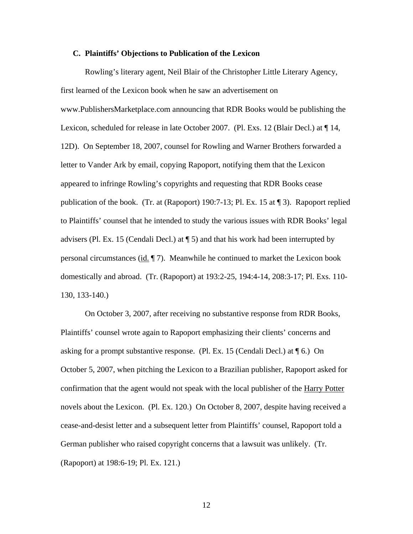#### **C. Plaintiffs' Objections to Publication of the Lexicon**

Rowling's literary agent, Neil Blair of the Christopher Little Literary Agency, first learned of the Lexicon book when he saw an advertisement on www.PublishersMarketplace.com announcing that RDR Books would be publishing the Lexicon, scheduled for release in late October 2007. (Pl. Exs. 12 (Blair Decl.) at ¶ 14, 12D). On September 18, 2007, counsel for Rowling and Warner Brothers forwarded a letter to Vander Ark by email, copying Rapoport, notifying them that the Lexicon appeared to infringe Rowling's copyrights and requesting that RDR Books cease publication of the book. (Tr. at (Rapoport) 190:7-13; Pl. Ex. 15 at ¶ 3). Rapoport replied to Plaintiffs' counsel that he intended to study the various issues with RDR Books' legal advisers (Pl. Ex. 15 (Cendali Decl.) at  $\P$  5) and that his work had been interrupted by personal circumstances (id. ¶ 7). Meanwhile he continued to market the Lexicon book domestically and abroad. (Tr. (Rapoport) at 193:2-25, 194:4-14, 208:3-17; Pl. Exs. 110- 130, 133-140.)

On October 3, 2007, after receiving no substantive response from RDR Books, Plaintiffs' counsel wrote again to Rapoport emphasizing their clients' concerns and asking for a prompt substantive response. (Pl. Ex. 15 (Cendali Decl.) at  $\P$  6.) On October 5, 2007, when pitching the Lexicon to a Brazilian publisher, Rapoport asked for confirmation that the agent would not speak with the local publisher of the Harry Potter novels about the Lexicon. (Pl. Ex. 120.) On October 8, 2007, despite having received a cease-and-desist letter and a subsequent letter from Plaintiffs' counsel, Rapoport told a German publisher who raised copyright concerns that a lawsuit was unlikely. (Tr. (Rapoport) at 198:6-19; Pl. Ex. 121.)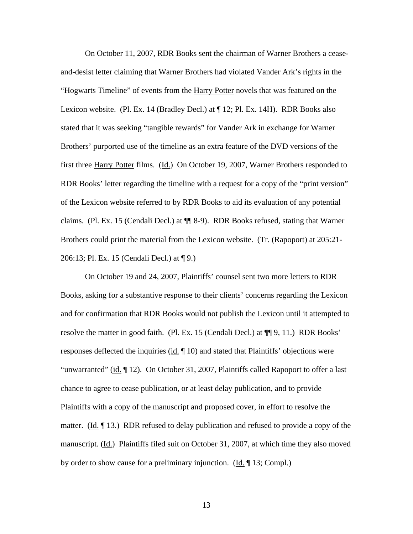On October 11, 2007, RDR Books sent the chairman of Warner Brothers a ceaseand-desist letter claiming that Warner Brothers had violated Vander Ark's rights in the "Hogwarts Timeline" of events from the Harry Potter novels that was featured on the Lexicon website. (Pl. Ex. 14 (Bradley Decl.) at ¶ 12; Pl. Ex. 14H). RDR Books also stated that it was seeking "tangible rewards" for Vander Ark in exchange for Warner Brothers' purported use of the timeline as an extra feature of the DVD versions of the first three Harry Potter films. (Id.) On October 19, 2007, Warner Brothers responded to RDR Books' letter regarding the timeline with a request for a copy of the "print version" of the Lexicon website referred to by RDR Books to aid its evaluation of any potential claims. (Pl. Ex. 15 (Cendali Decl.) at ¶¶ 8-9). RDR Books refused, stating that Warner Brothers could print the material from the Lexicon website. (Tr. (Rapoport) at 205:21- 206:13; Pl. Ex. 15 (Cendali Decl.) at ¶ 9.)

On October 19 and 24, 2007, Plaintiffs' counsel sent two more letters to RDR Books, asking for a substantive response to their clients' concerns regarding the Lexicon and for confirmation that RDR Books would not publish the Lexicon until it attempted to resolve the matter in good faith. (Pl. Ex. 15 (Cendali Decl.) at ¶¶ 9, 11.) RDR Books' responses deflected the inquiries (id. ¶ 10) and stated that Plaintiffs' objections were "unwarranted" (id. ¶ 12). On October 31, 2007, Plaintiffs called Rapoport to offer a last chance to agree to cease publication, or at least delay publication, and to provide Plaintiffs with a copy of the manuscript and proposed cover, in effort to resolve the matter. (Id. 13.) RDR refused to delay publication and refused to provide a copy of the manuscript. (Id.) Plaintiffs filed suit on October 31, 2007, at which time they also moved by order to show cause for a preliminary injunction. (Id. ¶ 13; Compl.)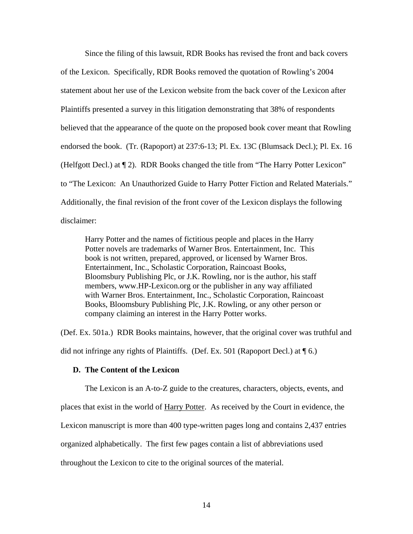Since the filing of this lawsuit, RDR Books has revised the front and back covers of the Lexicon. Specifically, RDR Books removed the quotation of Rowling's 2004 statement about her use of the Lexicon website from the back cover of the Lexicon after Plaintiffs presented a survey in this litigation demonstrating that 38% of respondents believed that the appearance of the quote on the proposed book cover meant that Rowling endorsed the book. (Tr. (Rapoport) at 237:6-13; Pl. Ex. 13C (Blumsack Decl.); Pl. Ex. 16 (Helfgott Decl.) at ¶ 2). RDR Books changed the title from "The Harry Potter Lexicon" to "The Lexicon: An Unauthorized Guide to Harry Potter Fiction and Related Materials." Additionally, the final revision of the front cover of the Lexicon displays the following disclaimer:

Harry Potter and the names of fictitious people and places in the Harry Potter novels are trademarks of Warner Bros. Entertainment, Inc. This book is not written, prepared, approved, or licensed by Warner Bros. Entertainment, Inc., Scholastic Corporation, Raincoast Books, Bloomsbury Publishing Plc, or J.K. Rowling, nor is the author, his staff members, www.HP-Lexicon.org or the publisher in any way affiliated with Warner Bros. Entertainment, Inc., Scholastic Corporation, Raincoast Books, Bloomsbury Publishing Plc, J.K. Rowling, or any other person or company claiming an interest in the Harry Potter works.

(Def. Ex. 501a.) RDR Books maintains, however, that the original cover was truthful and did not infringe any rights of Plaintiffs. (Def. Ex. 501 (Rapoport Decl.) at  $\P$  6.)

# **D. The Content of the Lexicon**

The Lexicon is an A-to-Z guide to the creatures, characters, objects, events, and

places that exist in the world of Harry Potter. As received by the Court in evidence, the

Lexicon manuscript is more than 400 type-written pages long and contains 2,437 entries

organized alphabetically. The first few pages contain a list of abbreviations used

throughout the Lexicon to cite to the original sources of the material.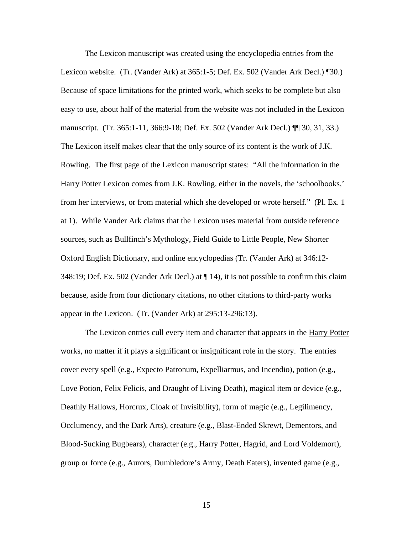The Lexicon manuscript was created using the encyclopedia entries from the Lexicon website. (Tr. (Vander Ark) at 365:1-5; Def. Ex. 502 (Vander Ark Decl.) ¶30.) Because of space limitations for the printed work, which seeks to be complete but also easy to use, about half of the material from the website was not included in the Lexicon manuscript. (Tr. 365:1-11, 366:9-18; Def. Ex. 502 (Vander Ark Decl.) ¶¶ 30, 31, 33.) The Lexicon itself makes clear that the only source of its content is the work of J.K. Rowling. The first page of the Lexicon manuscript states: "All the information in the Harry Potter Lexicon comes from J.K. Rowling, either in the novels, the 'schoolbooks,' from her interviews, or from material which she developed or wrote herself." (Pl. Ex. 1 at 1). While Vander Ark claims that the Lexicon uses material from outside reference sources, such as Bullfinch's Mythology, Field Guide to Little People, New Shorter Oxford English Dictionary, and online encyclopedias (Tr. (Vander Ark) at 346:12- 348:19; Def. Ex. 502 (Vander Ark Decl.) at ¶ 14), it is not possible to confirm this claim because, aside from four dictionary citations, no other citations to third-party works appear in the Lexicon. (Tr. (Vander Ark) at 295:13-296:13).

The Lexicon entries cull every item and character that appears in the Harry Potter works, no matter if it plays a significant or insignificant role in the story. The entries cover every spell (e.g., Expecto Patronum, Expelliarmus, and Incendio), potion (e.g., Love Potion, Felix Felicis, and Draught of Living Death), magical item or device (e.g., Deathly Hallows, Horcrux, Cloak of Invisibility), form of magic (e.g., Legilimency, Occlumency, and the Dark Arts), creature (e.g., Blast-Ended Skrewt, Dementors, and Blood-Sucking Bugbears), character (e.g., Harry Potter, Hagrid, and Lord Voldemort), group or force (e.g., Aurors, Dumbledore's Army, Death Eaters), invented game (e.g.,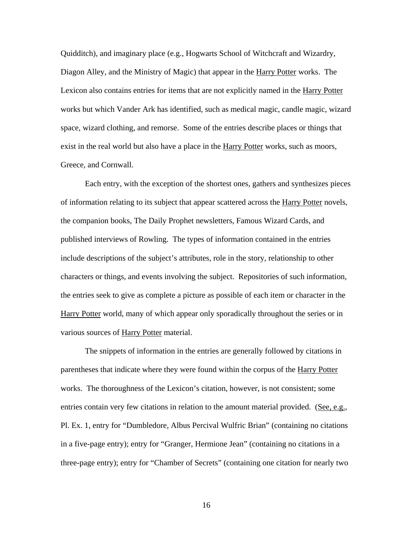Quidditch), and imaginary place (e.g., Hogwarts School of Witchcraft and Wizardry, Diagon Alley, and the Ministry of Magic) that appear in the Harry Potter works. The Lexicon also contains entries for items that are not explicitly named in the Harry Potter works but which Vander Ark has identified, such as medical magic, candle magic, wizard space, wizard clothing, and remorse. Some of the entries describe places or things that exist in the real world but also have a place in the Harry Potter works, such as moors, Greece, and Cornwall.

 Each entry, with the exception of the shortest ones, gathers and synthesizes pieces of information relating to its subject that appear scattered across the Harry Potter novels, the companion books, The Daily Prophet newsletters, Famous Wizard Cards, and published interviews of Rowling. The types of information contained in the entries include descriptions of the subject's attributes, role in the story, relationship to other characters or things, and events involving the subject. Repositories of such information, the entries seek to give as complete a picture as possible of each item or character in the Harry Potter world, many of which appear only sporadically throughout the series or in various sources of Harry Potter material.

The snippets of information in the entries are generally followed by citations in parentheses that indicate where they were found within the corpus of the Harry Potter works. The thoroughness of the Lexicon's citation, however, is not consistent; some entries contain very few citations in relation to the amount material provided. (See, e.g., Pl. Ex. 1, entry for "Dumbledore, Albus Percival Wulfric Brian" (containing no citations in a five-page entry); entry for "Granger, Hermione Jean" (containing no citations in a three-page entry); entry for "Chamber of Secrets" (containing one citation for nearly two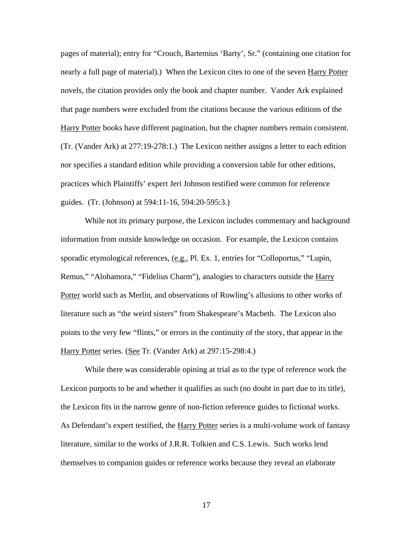pages of material); entry for "Crouch, Bartemius 'Barty', Sr." (containing one citation for nearly a full page of material).) When the Lexicon cites to one of the seven Harry Potter novels, the citation provides only the book and chapter number. Vander Ark explained that page numbers were excluded from the citations because the various editions of the Harry Potter books have different pagination, but the chapter numbers remain consistent. (Tr. (Vander Ark) at 277:19-278:1.) The Lexicon neither assigns a letter to each edition nor specifies a standard edition while providing a conversion table for other editions, practices which Plaintiffs' expert Jeri Johnson testified were common for reference guides. (Tr. (Johnson) at 594:11-16, 594:20-595:3.)

While not its primary purpose, the Lexicon includes commentary and background information from outside knowledge on occasion. For example, the Lexicon contains sporadic etymological references, (e.g., Pl. Ex. 1, entries for "Colloportus," "Lupin, Remus," "Alohamora," "Fidelius Charm"), analogies to characters outside the Harry Potter world such as Merlin, and observations of Rowling's allusions to other works of literature such as "the weird sisters" from Shakespeare's Macbeth. The Lexicon also points to the very few "flints," or errors in the continuity of the story, that appear in the Harry Potter series. (See Tr. (Vander Ark) at 297:15-298:4.)

While there was considerable opining at trial as to the type of reference work the Lexicon purports to be and whether it qualifies as such (no doubt in part due to its title), the Lexicon fits in the narrow genre of non-fiction reference guides to fictional works. As Defendant's expert testified, the Harry Potter series is a multi-volume work of fantasy literature, similar to the works of J.R.R. Tolkien and C.S. Lewis. Such works lend themselves to companion guides or reference works because they reveal an elaborate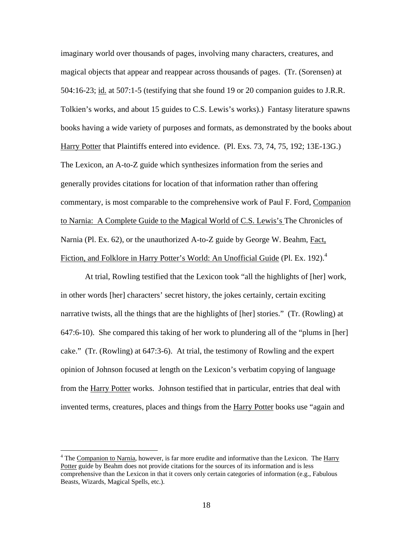imaginary world over thousands of pages, involving many characters, creatures, and magical objects that appear and reappear across thousands of pages. (Tr. (Sorensen) at 504:16-23; id. at 507:1-5 (testifying that she found 19 or 20 companion guides to J.R.R. Tolkien's works, and about 15 guides to C.S. Lewis's works).) Fantasy literature spawns books having a wide variety of purposes and formats, as demonstrated by the books about Harry Potter that Plaintiffs entered into evidence. (Pl. Exs. 73, 74, 75, 192; 13E-13G.) The Lexicon, an A-to-Z guide which synthesizes information from the series and generally provides citations for location of that information rather than offering commentary, is most comparable to the comprehensive work of Paul F. Ford, Companion to Narnia: A Complete Guide to the Magical World of C.S. Lewis's The Chronicles of Narnia (Pl. Ex. 62), or the unauthorized A-to-Z guide by George W. Beahm, Fact, Fiction, and Folklore in Harry Potter's World: An Unofficial Guide (Pl. Ex. 192).<sup>4</sup>

At trial, Rowling testified that the Lexicon took "all the highlights of [her] work, in other words [her] characters' secret history, the jokes certainly, certain exciting narrative twists, all the things that are the highlights of [her] stories." (Tr. (Rowling) at 647:6-10). She compared this taking of her work to plundering all of the "plums in [her] cake." (Tr. (Rowling) at 647:3-6). At trial, the testimony of Rowling and the expert opinion of Johnson focused at length on the Lexicon's verbatim copying of language from the Harry Potter works. Johnson testified that in particular, entries that deal with invented terms, creatures, places and things from the Harry Potter books use "again and

 $\overline{a}$ 

 $4$  The Companion to Narnia, however, is far more erudite and informative than the Lexicon. The  $\frac{\text{Harry}}{\text{Harry}}$ Potter guide by Beahm does not provide citations for the sources of its information and is less comprehensive than the Lexicon in that it covers only certain categories of information (e.g., Fabulous Beasts, Wizards, Magical Spells, etc.).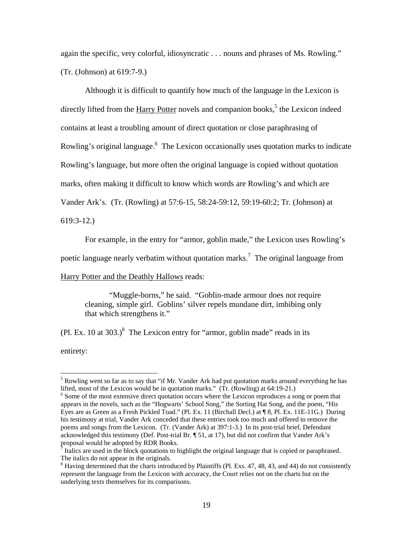again the specific, very colorful, idiosyncratic . . . nouns and phrases of Ms. Rowling." (Tr. (Johnson) at 619:7-9.)

Although it is difficult to quantify how much of the language in the Lexicon is directly lifted from the Harry Potter novels and companion books,<sup>5</sup> the Lexicon indeed contains at least a troubling amount of direct quotation or close paraphrasing of Rowling's original language.<sup>6</sup> The Lexicon occasionally uses quotation marks to indicate Rowling's language, but more often the original language is copied without quotation marks, often making it difficult to know which words are Rowling's and which are Vander Ark's. (Tr. (Rowling) at 57:6-15, 58:24-59:12, 59:19-60:2; Tr. (Johnson) at 619:3-12.)

For example, in the entry for "armor, goblin made," the Lexicon uses Rowling's

poetic language nearly verbatim without quotation marks.<sup>7</sup> The original language from

#### Harry Potter and the Deathly Hallows reads:

"Muggle-borns," he said. "Goblin-made armour does not require cleaning, simple girl. Goblins' silver repels mundane dirt, imbibing only that which strengthens it."

(Pl. Ex. 10 at 303.) $8$  The Lexicon entry for "armor, goblin made" reads in its entirety:

<sup>&</sup>lt;sup>5</sup> Rowling went so far as to say that "if Mr. Vander Ark had put quotation marks around everything he has <sup>5</sup> lifted, most of the Lexicon would be in quotation marks." (Tr. (Rowling) at 64:19-21.)

<sup>&</sup>lt;sup>6</sup> Some of the most extensive direct quotation occurs where the Lexicon reproduces a song or poem that appears in the novels, such as the "Hogwarts' School Song," the Sorting Hat Song, and the poem, "His Eyes are as Green as a Fresh Pickled Toad." (Pl. Ex. 11 (Birchall Decl.) at ¶ 8, Pl. Ex. 11E-11G.) During his testimony at trial, Vander Ark conceded that these entries took too much and offered to remove the poems and songs from the Lexicon. (Tr. (Vander Ark) at 397:1-3.) In its post-trial brief, Defendant acknowledged this testimony (Def. Post-trial Br. ¶ 51, at 17), but did not confirm that Vander Ark's proposal would be adopted by RDR Books.

 $^7$  Italics are used in the block quotations to highlight the original language that is copied or paraphrased. The italics do not appear in the originals.

<sup>&</sup>lt;sup>8</sup> Having determined that the charts introduced by Plaintiffs (Pl. Exs. 47, 48, 43, and 44) do not consistently represent the language from the Lexicon with accuracy, the Court relies not on the charts but on the underlying texts themselves for its comparisons.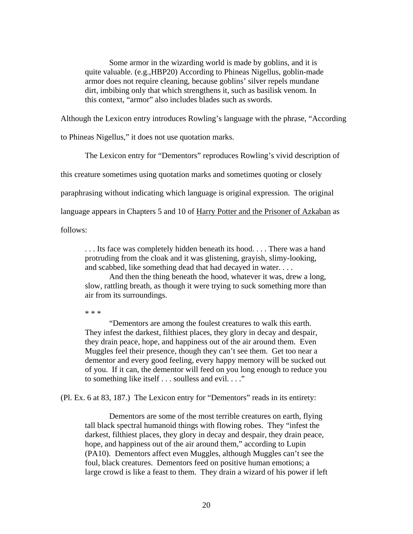Some armor in the wizarding world is made by goblins, and it is quite valuable. (e.g.,HBP20) According to Phineas Nigellus, goblin-made armor does not require cleaning, because goblins' silver repels mundane dirt, imbibing only that which strengthens it, such as basilisk venom. In this context, "armor" also includes blades such as swords.

Although the Lexicon entry introduces Rowling's language with the phrase, "According

to Phineas Nigellus," it does not use quotation marks.

The Lexicon entry for "Dementors" reproduces Rowling's vivid description of

this creature sometimes using quotation marks and sometimes quoting or closely

paraphrasing without indicating which language is original expression. The original

language appears in Chapters 5 and 10 of Harry Potter and the Prisoner of Azkaban as

follows:

. . . Its face was completely hidden beneath its hood. . . . There was a hand protruding from the cloak and it was glistening, grayish, slimy-looking, and scabbed, like something dead that had decayed in water. . . .

And then the thing beneath the hood, whatever it was, drew a long, slow, rattling breath, as though it were trying to suck something more than air from its surroundings.

\* \* \*

"Dementors are among the foulest creatures to walk this earth. They infest the darkest, filthiest places, they glory in decay and despair, they drain peace, hope, and happiness out of the air around them. Even Muggles feel their presence, though they can't see them. Get too near a dementor and every good feeling, every happy memory will be sucked out of you. If it can, the dementor will feed on you long enough to reduce you to something like itself . . . soulless and evil. . . ."

(Pl. Ex. 6 at 83, 187.) The Lexicon entry for "Dementors" reads in its entirety:

Dementors are some of the most terrible creatures on earth, flying tall black spectral humanoid things with flowing robes. They "infest the darkest, filthiest places, they glory in decay and despair, they drain peace, hope, and happiness out of the air around them," according to Lupin (PA10). Dementors affect even Muggles, although Muggles can't see the foul, black creatures. Dementors feed on positive human emotions; a large crowd is like a feast to them. They drain a wizard of his power if left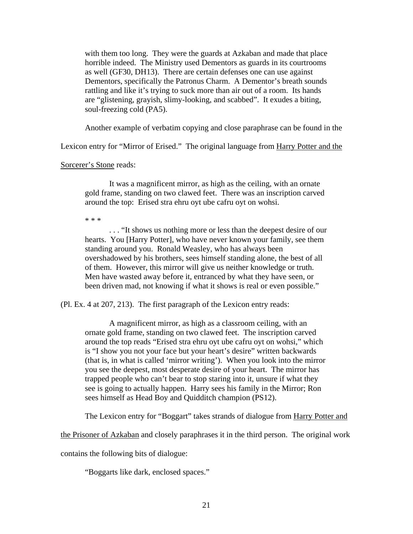with them too long. They were the guards at Azkaban and made that place horrible indeed. The Ministry used Dementors as guards in its courtrooms as well (GF30, DH13). There are certain defenses one can use against Dementors, specifically the Patronus Charm. A Dementor's breath sounds rattling and like it's trying to suck more than air out of a room. Its hands are "glistening, grayish, slimy-looking, and scabbed". It exudes a biting, soul-freezing cold (PA5).

Another example of verbatim copying and close paraphrase can be found in the

Lexicon entry for "Mirror of Erised." The original language from Harry Potter and the

Sorcerer's Stone reads:

It was a magnificent mirror, as high as the ceiling, with an ornate gold frame, standing on two clawed feet. There was an inscription carved around the top: Erised stra ehru oyt ube cafru oyt on wohsi.

\* \* \*

. . . "It shows us nothing more or less than the deepest desire of our hearts. You [Harry Potter], who have never known your family, see them standing around you. Ronald Weasley, who has always been overshadowed by his brothers, sees himself standing alone, the best of all of them. However, this mirror will give us neither knowledge or truth. Men have wasted away before it, entranced by what they have seen, or been driven mad, not knowing if what it shows is real or even possible."

(Pl. Ex. 4 at 207, 213). The first paragraph of the Lexicon entry reads:

A magnificent mirror, as high as a classroom ceiling, with an ornate gold frame, standing on two clawed feet. The inscription carved around the top reads "Erised stra ehru oyt ube cafru oyt on wohsi," which is "I show you not your face but your heart's desire" written backwards (that is, in what is called 'mirror writing'). When you look into the mirror you see the deepest, most desperate desire of your heart. The mirror has trapped people who can't bear to stop staring into it, unsure if what they see is going to actually happen. Harry sees his family in the Mirror; Ron sees himself as Head Boy and Quidditch champion (PS12).

The Lexicon entry for "Boggart" takes strands of dialogue from Harry Potter and

the Prisoner of Azkaban and closely paraphrases it in the third person. The original work

contains the following bits of dialogue:

"Boggarts like dark, enclosed spaces."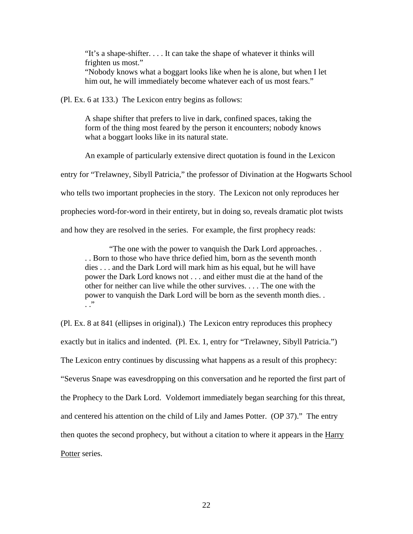"It's a shape-shifter. . . . It can take the shape of whatever it thinks will frighten us most." "Nobody knows what a boggart looks like when he is alone, but when I let him out, he will immediately become whatever each of us most fears."

(Pl. Ex. 6 at 133.) The Lexicon entry begins as follows:

A shape shifter that prefers to live in dark, confined spaces, taking the form of the thing most feared by the person it encounters; nobody knows what a boggart looks like in its natural state.

An example of particularly extensive direct quotation is found in the Lexicon entry for "Trelawney, Sibyll Patricia," the professor of Divination at the Hogwarts School who tells two important prophecies in the story. The Lexicon not only reproduces her prophecies word-for-word in their entirety, but in doing so, reveals dramatic plot twists and how they are resolved in the series. For example, the first prophecy reads:

"The one with the power to vanquish the Dark Lord approaches. . . . Born to those who have thrice defied him, born as the seventh month dies . . . and the Dark Lord will mark him as his equal, but he will have power the Dark Lord knows not . . . and either must die at the hand of the other for neither can live while the other survives. . . . The one with the power to vanquish the Dark Lord will be born as the seventh month dies. .  $\cdot$  .  $\cdot$ 

(Pl. Ex. 8 at 841 (ellipses in original).) The Lexicon entry reproduces this prophecy exactly but in italics and indented. (Pl. Ex. 1, entry for "Trelawney, Sibyll Patricia.") The Lexicon entry continues by discussing what happens as a result of this prophecy: "Severus Snape was eavesdropping on this conversation and he reported the first part of the Prophecy to the Dark Lord. Voldemort immediately began searching for this threat, and centered his attention on the child of Lily and James Potter. (OP 37)." The entry then quotes the second prophecy, but without a citation to where it appears in the Harry Potter series.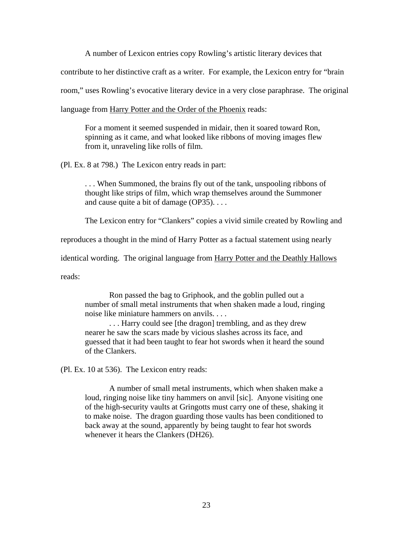A number of Lexicon entries copy Rowling's artistic literary devices that

contribute to her distinctive craft as a writer. For example, the Lexicon entry for "brain

room," uses Rowling's evocative literary device in a very close paraphrase. The original

language from Harry Potter and the Order of the Phoenix reads:

For a moment it seemed suspended in midair, then it soared toward Ron, spinning as it came, and what looked like ribbons of moving images flew from it, unraveling like rolls of film.

(Pl. Ex. 8 at 798.) The Lexicon entry reads in part:

. . . When Summoned, the brains fly out of the tank, unspooling ribbons of thought like strips of film, which wrap themselves around the Summoner and cause quite a bit of damage (OP35). . . .

The Lexicon entry for "Clankers" copies a vivid simile created by Rowling and

reproduces a thought in the mind of Harry Potter as a factual statement using nearly

identical wording. The original language from Harry Potter and the Deathly Hallows

reads:

Ron passed the bag to Griphook, and the goblin pulled out a number of small metal instruments that when shaken made a loud, ringing noise like miniature hammers on anvils. . . .

 . . . Harry could see [the dragon] trembling, and as they drew nearer he saw the scars made by vicious slashes across its face, and guessed that it had been taught to fear hot swords when it heard the sound of the Clankers.

(Pl. Ex. 10 at 536). The Lexicon entry reads:

A number of small metal instruments, which when shaken make a loud, ringing noise like tiny hammers on anvil [sic]. Anyone visiting one of the high-security vaults at Gringotts must carry one of these, shaking it to make noise. The dragon guarding those vaults has been conditioned to back away at the sound, apparently by being taught to fear hot swords whenever it hears the Clankers (DH26).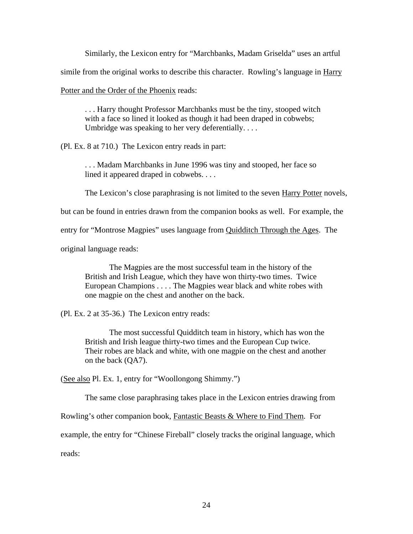Similarly, the Lexicon entry for "Marchbanks, Madam Griselda" uses an artful

simile from the original works to describe this character. Rowling's language in Harry

Potter and the Order of the Phoenix reads:

. . . Harry thought Professor Marchbanks must be the tiny, stooped witch with a face so lined it looked as though it had been draped in cobwebs; Umbridge was speaking to her very deferentially. . . .

(Pl. Ex. 8 at 710.) The Lexicon entry reads in part:

. . . Madam Marchbanks in June 1996 was tiny and stooped, her face so lined it appeared draped in cobwebs. . . .

The Lexicon's close paraphrasing is not limited to the seven Harry Potter novels,

but can be found in entries drawn from the companion books as well. For example, the

entry for "Montrose Magpies" uses language from Quidditch Through the Ages. The

original language reads:

The Magpies are the most successful team in the history of the British and Irish League, which they have won thirty-two times. Twice European Champions . . . . The Magpies wear black and white robes with one magpie on the chest and another on the back.

(Pl. Ex. 2 at 35-36.) The Lexicon entry reads:

The most successful Quidditch team in history, which has won the British and Irish league thirty-two times and the European Cup twice. Their robes are black and white, with one magpie on the chest and another on the back (QA7).

(See also Pl. Ex. 1, entry for "Woollongong Shimmy.")

The same close paraphrasing takes place in the Lexicon entries drawing from

Rowling's other companion book, Fantastic Beasts & Where to Find Them. For

example, the entry for "Chinese Fireball" closely tracks the original language, which

reads: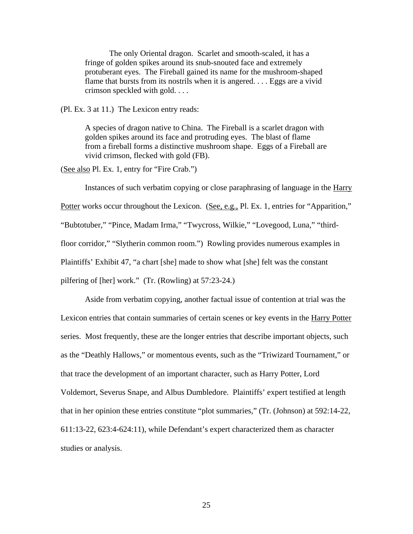The only Oriental dragon. Scarlet and smooth-scaled, it has a fringe of golden spikes around its snub-snouted face and extremely protuberant eyes. The Fireball gained its name for the mushroom-shaped flame that bursts from its nostrils when it is angered. . . . Eggs are a vivid crimson speckled with gold. . . .

(Pl. Ex. 3 at 11.) The Lexicon entry reads:

A species of dragon native to China. The Fireball is a scarlet dragon with golden spikes around its face and protruding eyes. The blast of flame from a fireball forms a distinctive mushroom shape. Eggs of a Fireball are vivid crimson, flecked with gold (FB).

(See also Pl. Ex. 1, entry for "Fire Crab.")

Instances of such verbatim copying or close paraphrasing of language in the Harry

Potter works occur throughout the Lexicon. (See, e.g., Pl. Ex. 1, entries for "Apparition,"

"Bubtotuber," "Pince, Madam Irma," "Twycross, Wilkie," "Lovegood, Luna," "third-

floor corridor," "Slytherin common room.") Rowling provides numerous examples in

Plaintiffs' Exhibit 47, "a chart [she] made to show what [she] felt was the constant

pilfering of [her] work." (Tr. (Rowling) at 57:23-24.)

Aside from verbatim copying, another factual issue of contention at trial was the Lexicon entries that contain summaries of certain scenes or key events in the Harry Potter series. Most frequently, these are the longer entries that describe important objects, such as the "Deathly Hallows," or momentous events, such as the "Triwizard Tournament," or that trace the development of an important character, such as Harry Potter, Lord Voldemort, Severus Snape, and Albus Dumbledore. Plaintiffs' expert testified at length that in her opinion these entries constitute "plot summaries," (Tr. (Johnson) at 592:14-22, 611:13-22, 623:4-624:11), while Defendant's expert characterized them as character studies or analysis.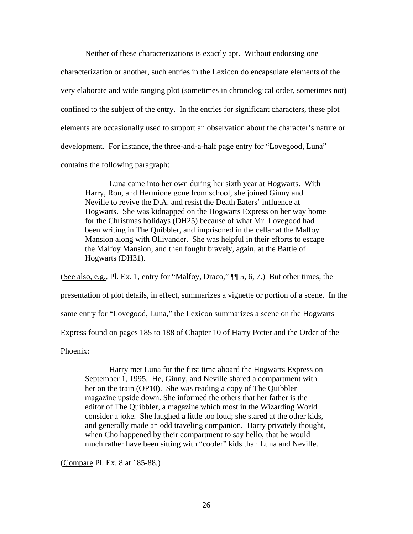Neither of these characterizations is exactly apt. Without endorsing one characterization or another, such entries in the Lexicon do encapsulate elements of the very elaborate and wide ranging plot (sometimes in chronological order, sometimes not) confined to the subject of the entry. In the entries for significant characters, these plot elements are occasionally used to support an observation about the character's nature or development. For instance, the three-and-a-half page entry for "Lovegood, Luna" contains the following paragraph:

Luna came into her own during her sixth year at Hogwarts. With Harry, Ron, and Hermione gone from school, she joined Ginny and Neville to revive the D.A. and resist the Death Eaters' influence at Hogwarts. She was kidnapped on the Hogwarts Express on her way home for the Christmas holidays (DH25) because of what Mr. Lovegood had been writing in The Quibbler, and imprisoned in the cellar at the Malfoy Mansion along with Ollivander. She was helpful in their efforts to escape the Malfoy Mansion, and then fought bravely, again, at the Battle of Hogwarts (DH31).

(See also, e.g., Pl. Ex. 1, entry for "Malfoy, Draco," ¶¶ 5, 6, 7.) But other times, the presentation of plot details, in effect, summarizes a vignette or portion of a scene. In the same entry for "Lovegood, Luna," the Lexicon summarizes a scene on the Hogwarts Express found on pages 185 to 188 of Chapter 10 of Harry Potter and the Order of the

Phoenix:

Harry met Luna for the first time aboard the Hogwarts Express on September 1, 1995. He, Ginny, and Neville shared a compartment with her on the train (OP10). She was reading a copy of The Quibbler magazine upside down. She informed the others that her father is the editor of The Quibbler, a magazine which most in the Wizarding World consider a joke. She laughed a little too loud; she stared at the other kids, and generally made an odd traveling companion. Harry privately thought, when Cho happened by their compartment to say hello, that he would much rather have been sitting with "cooler" kids than Luna and Neville.

(Compare Pl. Ex. 8 at 185-88.)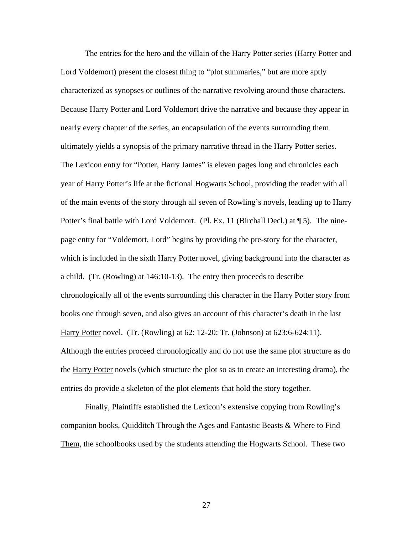The entries for the hero and the villain of the Harry Potter series (Harry Potter and Lord Voldemort) present the closest thing to "plot summaries," but are more aptly characterized as synopses or outlines of the narrative revolving around those characters. Because Harry Potter and Lord Voldemort drive the narrative and because they appear in nearly every chapter of the series, an encapsulation of the events surrounding them ultimately yields a synopsis of the primary narrative thread in the Harry Potter series. The Lexicon entry for "Potter, Harry James" is eleven pages long and chronicles each year of Harry Potter's life at the fictional Hogwarts School, providing the reader with all of the main events of the story through all seven of Rowling's novels, leading up to Harry Potter's final battle with Lord Voldemort. (Pl. Ex. 11 (Birchall Decl.) at  $\P$  5). The ninepage entry for "Voldemort, Lord" begins by providing the pre-story for the character, which is included in the sixth Harry Potter novel, giving background into the character as a child. (Tr. (Rowling) at 146:10-13). The entry then proceeds to describe chronologically all of the events surrounding this character in the Harry Potter story from books one through seven, and also gives an account of this character's death in the last Harry Potter novel. (Tr. (Rowling) at 62: 12-20; Tr. (Johnson) at 623:6-624:11). Although the entries proceed chronologically and do not use the same plot structure as do the Harry Potter novels (which structure the plot so as to create an interesting drama), the entries do provide a skeleton of the plot elements that hold the story together.

Finally, Plaintiffs established the Lexicon's extensive copying from Rowling's companion books, Quidditch Through the Ages and Fantastic Beasts & Where to Find Them, the schoolbooks used by the students attending the Hogwarts School. These two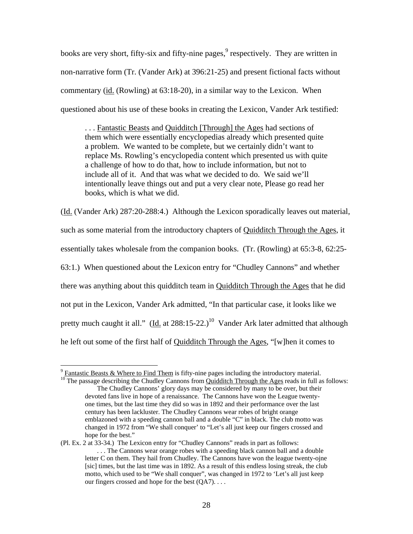books are very short, fifty-six and fifty-nine pages, respectively. They are written in non-narrative form (Tr. (Vander Ark) at 396:21-25) and present fictional facts without commentary (id. (Rowling) at 63:18-20), in a similar way to the Lexicon. When questioned about his use of these books in creating the Lexicon, Vander Ark testified:

. . . Fantastic Beasts and Quidditch [Through] the Ages had sections of them which were essentially encyclopedias already which presented quite a problem. We wanted to be complete, but we certainly didn't want to replace Ms. Rowling's encyclopedia content which presented us with quite a challenge of how to do that, how to include information, but not to include all of it. And that was what we decided to do. We said we'll intentionally leave things out and put a very clear note, Please go read her books, which is what we did.

(Id. (Vander Ark) 287:20-288:4.) Although the Lexicon sporadically leaves out material, such as some material from the introductory chapters of Quidditch Through the Ages, it essentially takes wholesale from the companion books. (Tr. (Rowling) at 65:3-8, 62:25- 63:1.) When questioned about the Lexicon entry for "Chudley Cannons" and whether there was anything about this quidditch team in Quidditch Through the Ages that he did not put in the Lexicon, Vander Ark admitted, "In that particular case, it looks like we pretty much caught it all." (Id. at  $288:15-22$ .)<sup>10</sup> Vander Ark later admitted that although he left out some of the first half of Quidditch Through the Ages, "[w]hen it comes to

-<br>9

(Pl. Ex. 2 at 33-34.) The Lexicon entry for "Chudley Cannons" reads in part as follows:

 $\frac{10 \text{ T}}{10}$  The passage describing the Chudley Cannons from Quidditch Through the Ages reads in full as follows: The Chudley Cannons' glory days may be considered by many to be over, but their devoted fans live in hope of a renaissance. The Cannons have won the League twentyone times, but the last time they did so was in 1892 and their performance over the last century has been lackluster. The Chudley Cannons wear robes of bright orange emblazoned with a speeding cannon ball and a double "C" in black. The club motto was changed in 1972 from "We shall conquer' to "Let's all just keep our fingers crossed and hope for the best."

<sup>. . .</sup> The Cannons wear orange robes with a speeding black cannon ball and a double letter C on them. They hail from Chudley. The Cannons have won the league twenty-ojne [sic] times, but the last time was in 1892. As a result of this endless losing streak, the club motto, which used to be "We shall conquer", was changed in 1972 to 'Let's all just keep our fingers crossed and hope for the best (QA7). . . .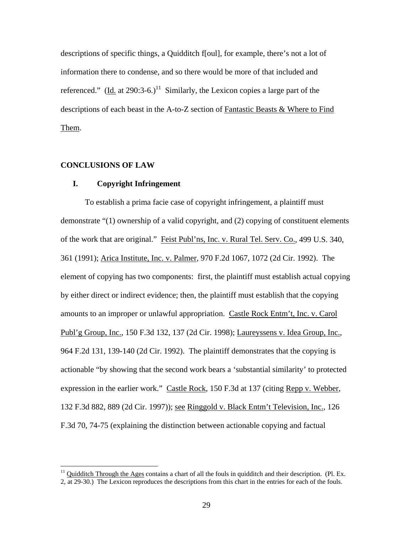descriptions of specific things, a Quidditch f[oul], for example, there's not a lot of information there to condense, and so there would be more of that included and referenced." (Id. at  $290:3-6$ .)<sup>11</sup> Similarly, the Lexicon copies a large part of the descriptions of each beast in the A-to-Z section of Fantastic Beasts & Where to Find Them.

# **CONCLUSIONS OF LAW**

 $\overline{a}$ 

# **I. Copyright Infringement**

To establish a prima facie case of copyright infringement, a plaintiff must demonstrate "(1) ownership of a valid copyright, and (2) copying of constituent elements of the work that are original." Feist Publ'ns, Inc. v. Rural Tel. Serv. Co., 499 U.S. 340, 361 (1991); Arica Institute, Inc. v. Palmer, 970 F.2d 1067, 1072 (2d Cir. 1992). The element of copying has two components: first, the plaintiff must establish actual copying by either direct or indirect evidence; then, the plaintiff must establish that the copying amounts to an improper or unlawful appropriation. Castle Rock Entm't, Inc. v. Carol Publ'g Group, Inc., 150 F.3d 132, 137 (2d Cir. 1998); Laureyssens v. Idea Group, Inc., 964 F.2d 131, 139-140 (2d Cir. 1992). The plaintiff demonstrates that the copying is actionable "by showing that the second work bears a 'substantial similarity' to protected expression in the earlier work." Castle Rock, 150 F.3d at 137 (citing Repp v. Webber, 132 F.3d 882, 889 (2d Cir. 1997)); see Ringgold v. Black Entm't Television, Inc., 126 F.3d 70, 74-75 (explaining the distinction between actionable copying and factual

 $11$  Quidditch Through the Ages contains a chart of all the fouls in quidditch and their description. (Pl. Ex. 2, at 29-30.) The Lexicon reproduces the descriptions from this chart in the entries for each of the fouls.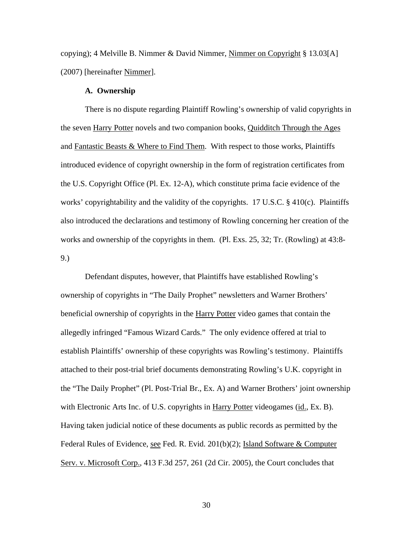copying); 4 Melville B. Nimmer & David Nimmer, Nimmer on Copyright § 13.03[A] (2007) [hereinafter Nimmer].

# **A. Ownership**

 There is no dispute regarding Plaintiff Rowling's ownership of valid copyrights in the seven Harry Potter novels and two companion books, Quidditch Through the Ages and Fantastic Beasts & Where to Find Them. With respect to those works, Plaintiffs introduced evidence of copyright ownership in the form of registration certificates from the U.S. Copyright Office (Pl. Ex. 12-A), which constitute prima facie evidence of the works' copyrightability and the validity of the copyrights. 17 U.S.C. § 410(c). Plaintiffs also introduced the declarations and testimony of Rowling concerning her creation of the works and ownership of the copyrights in them. (Pl. Exs. 25, 32; Tr. (Rowling) at 43:8- 9.)

Defendant disputes, however, that Plaintiffs have established Rowling's ownership of copyrights in "The Daily Prophet" newsletters and Warner Brothers' beneficial ownership of copyrights in the Harry Potter video games that contain the allegedly infringed "Famous Wizard Cards." The only evidence offered at trial to establish Plaintiffs' ownership of these copyrights was Rowling's testimony. Plaintiffs attached to their post-trial brief documents demonstrating Rowling's U.K. copyright in the "The Daily Prophet" (Pl. Post-Trial Br., Ex. A) and Warner Brothers' joint ownership with Electronic Arts Inc. of U.S. copyrights in Harry Potter videogames (id., Ex. B). Having taken judicial notice of these documents as public records as permitted by the Federal Rules of Evidence, see Fed. R. Evid. 201(b)(2); Island Software & Computer Serv. v. Microsoft Corp., 413 F.3d 257, 261 (2d Cir. 2005), the Court concludes that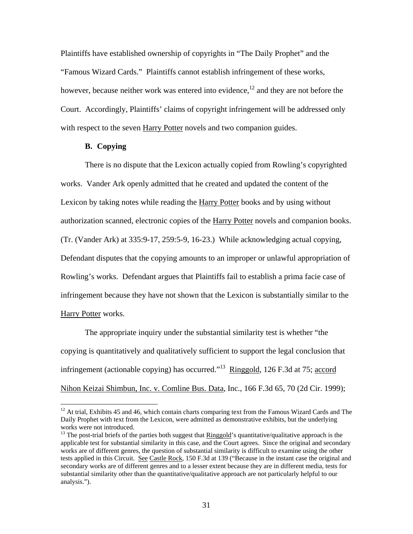Plaintiffs have established ownership of copyrights in "The Daily Prophet" and the "Famous Wizard Cards." Plaintiffs cannot establish infringement of these works, however, because neither work was entered into evidence,  $^{12}$  and they are not before the Court. Accordingly, Plaintiffs' claims of copyright infringement will be addressed only with respect to the seven Harry Potter novels and two companion guides.

# **B. Copying**

 $\overline{a}$ 

There is no dispute that the Lexicon actually copied from Rowling's copyrighted works. Vander Ark openly admitted that he created and updated the content of the Lexicon by taking notes while reading the Harry Potter books and by using without authorization scanned, electronic copies of the Harry Potter novels and companion books. (Tr. (Vander Ark) at 335:9-17, 259:5-9, 16-23.) While acknowledging actual copying, Defendant disputes that the copying amounts to an improper or unlawful appropriation of Rowling's works. Defendant argues that Plaintiffs fail to establish a prima facie case of infringement because they have not shown that the Lexicon is substantially similar to the Harry Potter works.

The appropriate inquiry under the substantial similarity test is whether "the copying is quantitatively and qualitatively sufficient to support the legal conclusion that infringement (actionable copying) has occurred."<sup>13</sup> Ringgold, 126 F.3d at 75; accord Nihon Keizai Shimbun, Inc. v. Comline Bus. Data, Inc., 166 F.3d 65, 70 (2d Cir. 1999);

<sup>&</sup>lt;sup>12</sup> At trial, Exhibits 45 and 46, which contain charts comparing text from the Famous Wizard Cards and The Daily Prophet with text from the Lexicon, were admitted as demonstrative exhibits, but the underlying works were not introduced.

 $13$  The post-trial briefs of the parties both suggest that  $\frac{Ringgold}{s}$  quantitative/qualitative approach is the applicable test for substantial similarity in this case, and the Court agrees. Since the original and secondary works are of different genres, the question of substantial similarity is difficult to examine using the other tests applied in this Circuit. See Castle Rock, 150 F.3d at 139 ("Because in the instant case the original and secondary works are of different genres and to a lesser extent because they are in different media, tests for substantial similarity other than the quantitative/qualitative approach are not particularly helpful to our analysis.").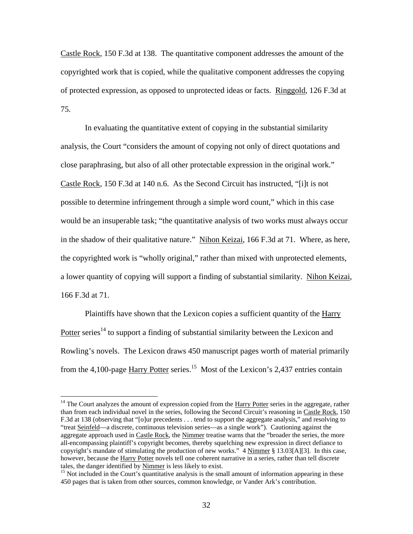Castle Rock, 150 F.3d at 138. The quantitative component addresses the amount of the copyrighted work that is copied, while the qualitative component addresses the copying of protected expression, as opposed to unprotected ideas or facts. Ringgold, 126 F.3d at 75.

In evaluating the quantitative extent of copying in the substantial similarity analysis, the Court "considers the amount of copying not only of direct quotations and close paraphrasing, but also of all other protectable expression in the original work." Castle Rock, 150 F.3d at 140 n.6. As the Second Circuit has instructed, "[i]t is not possible to determine infringement through a simple word count," which in this case would be an insuperable task; "the quantitative analysis of two works must always occur in the shadow of their qualitative nature." Nihon Keizai, 166 F.3d at 71. Where, as here, the copyrighted work is "wholly original," rather than mixed with unprotected elements, a lower quantity of copying will support a finding of substantial similarity. Nihon Keizai, 166 F.3d at 71.

Plaintiffs have shown that the Lexicon copies a sufficient quantity of the Harry Potter series<sup>14</sup> to support a finding of substantial similarity between the Lexicon and Rowling's novels. The Lexicon draws 450 manuscript pages worth of material primarily from the 4,100-page Harry Potter series.<sup>15</sup> Most of the Lexicon's 2,437 entries contain

 $\overline{a}$ 

<sup>&</sup>lt;sup>14</sup> The Court analyzes the amount of expression copied from the Harry Potter series in the aggregate, rather than from each individual novel in the series, following the Second Circuit's reasoning in Castle Rock, 150 F.3d at 138 (observing that "[o]ur precedents . . . tend to support the aggregate analysis," and resolving to "treat Seinfeld—a discrete, continuous television series—as a single work"). Cautioning against the aggregate approach used in Castle Rock, the Nimmer treatise warns that the "broader the series, the more all-encompassing plaintiff's copyright becomes, thereby squelching new expression in direct defiance to copyright's mandate of stimulating the production of new works." 4 Nimmer § 13.03[A][3]. In this case, however, because the Harry Potter novels tell one coherent narrative in a series, rather than tell discrete tales, the danger identified by Nimmer is less likely to exist.<br><sup>15</sup> Not included in the Court's quantitative analysis is the small amount of information appearing in these

<sup>450</sup> pages that is taken from other sources, common knowledge, or Vander Ark's contribution.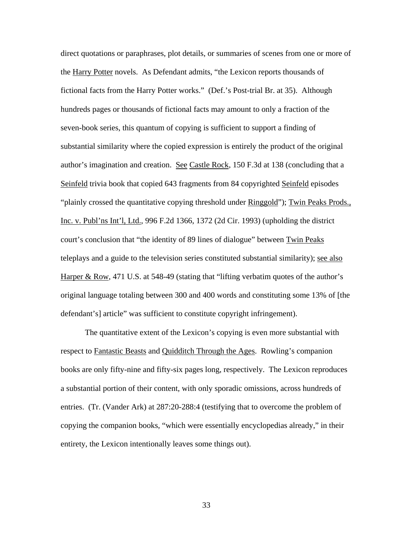direct quotations or paraphrases, plot details, or summaries of scenes from one or more of the Harry Potter novels. As Defendant admits, "the Lexicon reports thousands of fictional facts from the Harry Potter works." (Def.'s Post-trial Br. at 35). Although hundreds pages or thousands of fictional facts may amount to only a fraction of the seven-book series, this quantum of copying is sufficient to support a finding of substantial similarity where the copied expression is entirely the product of the original author's imagination and creation. See Castle Rock, 150 F.3d at 138 (concluding that a Seinfeld trivia book that copied 643 fragments from 84 copyrighted Seinfeld episodes "plainly crossed the quantitative copying threshold under Ringgold"); Twin Peaks Prods., Inc. v. Publ'ns Int'l, Ltd., 996 F.2d 1366, 1372 (2d Cir. 1993) (upholding the district court's conclusion that "the identity of 89 lines of dialogue" between Twin Peaks teleplays and a guide to the television series constituted substantial similarity); see also Harper & Row, 471 U.S. at 548-49 (stating that "lifting verbatim quotes of the author's original language totaling between 300 and 400 words and constituting some 13% of [the defendant's] article" was sufficient to constitute copyright infringement).

The quantitative extent of the Lexicon's copying is even more substantial with respect to Fantastic Beasts and Quidditch Through the Ages. Rowling's companion books are only fifty-nine and fifty-six pages long, respectively. The Lexicon reproduces a substantial portion of their content, with only sporadic omissions, across hundreds of entries. (Tr. (Vander Ark) at 287:20-288:4 (testifying that to overcome the problem of copying the companion books, "which were essentially encyclopedias already," in their entirety, the Lexicon intentionally leaves some things out).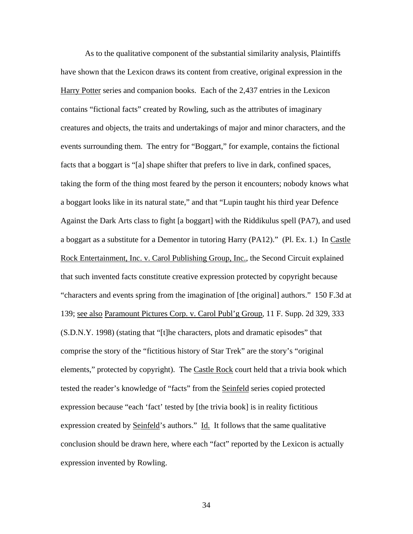As to the qualitative component of the substantial similarity analysis, Plaintiffs have shown that the Lexicon draws its content from creative, original expression in the Harry Potter series and companion books. Each of the 2,437 entries in the Lexicon contains "fictional facts" created by Rowling, such as the attributes of imaginary creatures and objects, the traits and undertakings of major and minor characters, and the events surrounding them. The entry for "Boggart," for example, contains the fictional facts that a boggart is "[a] shape shifter that prefers to live in dark, confined spaces, taking the form of the thing most feared by the person it encounters; nobody knows what a boggart looks like in its natural state," and that "Lupin taught his third year Defence Against the Dark Arts class to fight [a boggart] with the Riddikulus spell (PA7), and used a boggart as a substitute for a Dementor in tutoring Harry (PA12)." (Pl. Ex. 1.) In Castle Rock Entertainment, Inc. v. Carol Publishing Group, Inc., the Second Circuit explained that such invented facts constitute creative expression protected by copyright because "characters and events spring from the imagination of [the original] authors." 150 F.3d at 139; see also Paramount Pictures Corp. v. Carol Publ'g Group, 11 F. Supp. 2d 329, 333 (S.D.N.Y. 1998) (stating that "[t]he characters, plots and dramatic episodes" that comprise the story of the "fictitious history of Star Trek" are the story's "original elements," protected by copyright). The Castle Rock court held that a trivia book which tested the reader's knowledge of "facts" from the Seinfeld series copied protected expression because "each 'fact' tested by [the trivia book] is in reality fictitious expression created by Seinfeld's authors." Id. It follows that the same qualitative conclusion should be drawn here, where each "fact" reported by the Lexicon is actually expression invented by Rowling.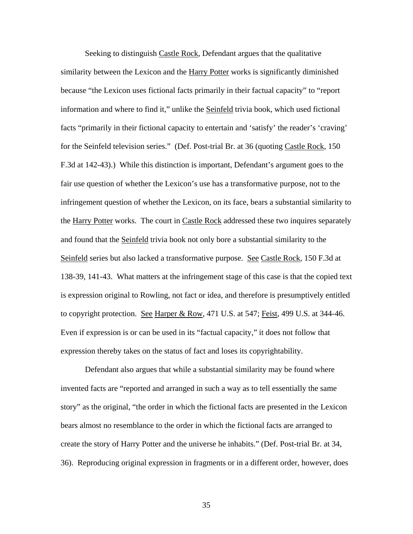Seeking to distinguish Castle Rock, Defendant argues that the qualitative similarity between the Lexicon and the Harry Potter works is significantly diminished because "the Lexicon uses fictional facts primarily in their factual capacity" to "report information and where to find it," unlike the Seinfeld trivia book, which used fictional facts "primarily in their fictional capacity to entertain and 'satisfy' the reader's 'craving' for the Seinfeld television series." (Def. Post-trial Br. at 36 (quoting Castle Rock, 150) F.3d at 142-43).) While this distinction is important, Defendant's argument goes to the fair use question of whether the Lexicon's use has a transformative purpose, not to the infringement question of whether the Lexicon, on its face, bears a substantial similarity to the Harry Potter works. The court in Castle Rock addressed these two inquires separately and found that the Seinfeld trivia book not only bore a substantial similarity to the Seinfeld series but also lacked a transformative purpose. See Castle Rock, 150 F.3d at 138-39, 141-43. What matters at the infringement stage of this case is that the copied text is expression original to Rowling, not fact or idea, and therefore is presumptively entitled to copyright protection. See Harper & Row, 471 U.S. at 547; Feist, 499 U.S. at 344-46. Even if expression is or can be used in its "factual capacity," it does not follow that expression thereby takes on the status of fact and loses its copyrightability.

Defendant also argues that while a substantial similarity may be found where invented facts are "reported and arranged in such a way as to tell essentially the same story" as the original, "the order in which the fictional facts are presented in the Lexicon bears almost no resemblance to the order in which the fictional facts are arranged to create the story of Harry Potter and the universe he inhabits." (Def. Post-trial Br. at 34, 36). Reproducing original expression in fragments or in a different order, however, does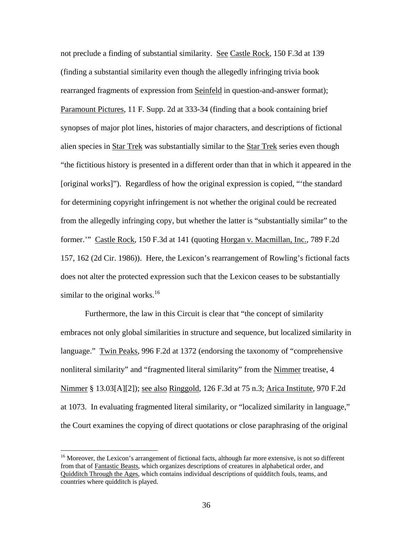not preclude a finding of substantial similarity. See Castle Rock, 150 F.3d at 139 (finding a substantial similarity even though the allegedly infringing trivia book rearranged fragments of expression from Seinfeld in question-and-answer format); Paramount Pictures, 11 F. Supp. 2d at 333-34 (finding that a book containing brief synopses of major plot lines, histories of major characters, and descriptions of fictional alien species in Star Trek was substantially similar to the Star Trek series even though "the fictitious history is presented in a different order than that in which it appeared in the [original works]"). Regardless of how the original expression is copied, "'the standard for determining copyright infringement is not whether the original could be recreated from the allegedly infringing copy, but whether the latter is "substantially similar" to the former.'" Castle Rock, 150 F.3d at 141 (quoting Horgan v. Macmillan, Inc., 789 F.2d 157, 162 (2d Cir. 1986)). Here, the Lexicon's rearrangement of Rowling's fictional facts does not alter the protected expression such that the Lexicon ceases to be substantially similar to the original works. $16$ 

Furthermore, the law in this Circuit is clear that "the concept of similarity embraces not only global similarities in structure and sequence, but localized similarity in language." Twin Peaks, 996 F.2d at 1372 (endorsing the taxonomy of "comprehensive nonliteral similarity" and "fragmented literal similarity" from the Nimmer treatise, 4 Nimmer § 13.03[A][2]); see also Ringgold, 126 F.3d at 75 n.3; Arica Institute, 970 F.2d at 1073. In evaluating fragmented literal similarity, or "localized similarity in language," the Court examines the copying of direct quotations or close paraphrasing of the original

 $\overline{a}$ 

<sup>&</sup>lt;sup>16</sup> Moreover, the Lexicon's arrangement of fictional facts, although far more extensive, is not so different from that of Fantastic Beasts, which organizes descriptions of creatures in alphabetical order, and Quidditch Through the Ages, which contains individual descriptions of quidditch fouls, teams, and countries where quidditch is played.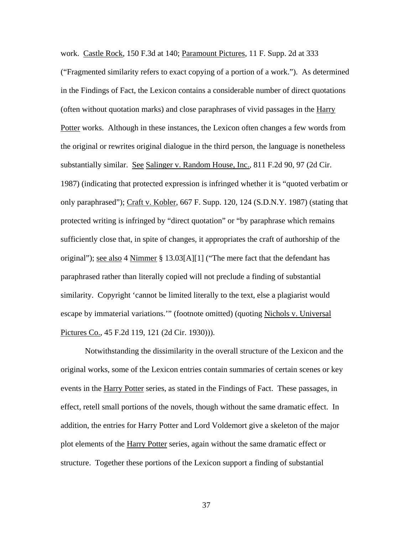work. Castle Rock, 150 F.3d at 140; Paramount Pictures, 11 F. Supp. 2d at 333 ("Fragmented similarity refers to exact copying of a portion of a work."). As determined in the Findings of Fact, the Lexicon contains a considerable number of direct quotations (often without quotation marks) and close paraphrases of vivid passages in the Harry Potter works. Although in these instances, the Lexicon often changes a few words from the original or rewrites original dialogue in the third person, the language is nonetheless substantially similar. See Salinger v. Random House, Inc., 811 F.2d 90, 97 (2d Cir. 1987) (indicating that protected expression is infringed whether it is "quoted verbatim or only paraphrased"); Craft v. Kobler, 667 F. Supp. 120, 124 (S.D.N.Y. 1987) (stating that protected writing is infringed by "direct quotation" or "by paraphrase which remains sufficiently close that, in spite of changes, it appropriates the craft of authorship of the original"); see also 4 Nimmer § 13.03[A][1] ("The mere fact that the defendant has paraphrased rather than literally copied will not preclude a finding of substantial similarity. Copyright 'cannot be limited literally to the text, else a plagiarist would escape by immaterial variations."" (footnote omitted) (quoting Nichols v. Universal Pictures Co., 45 F.2d 119, 121 (2d Cir. 1930))).

Notwithstanding the dissimilarity in the overall structure of the Lexicon and the original works, some of the Lexicon entries contain summaries of certain scenes or key events in the Harry Potter series, as stated in the Findings of Fact. These passages, in effect, retell small portions of the novels, though without the same dramatic effect. In addition, the entries for Harry Potter and Lord Voldemort give a skeleton of the major plot elements of the Harry Potter series, again without the same dramatic effect or structure. Together these portions of the Lexicon support a finding of substantial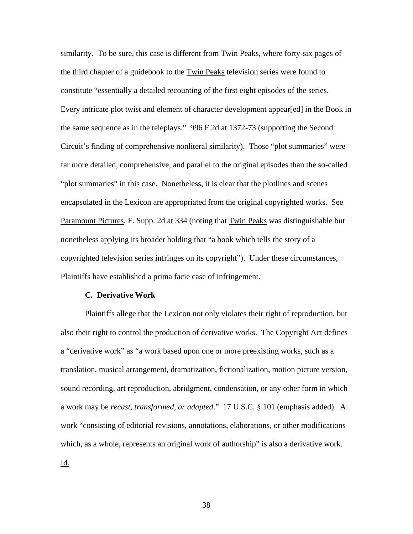similarity. To be sure, this case is different from Twin Peaks, where forty-six pages of the third chapter of a guidebook to the Twin Peaks television series were found to constitute "essentially a detailed recounting of the first eight episodes of the series. Every intricate plot twist and element of character development appear[ed] in the Book in the same sequence as in the teleplays." 996 F.2d at 1372-73 (supporting the Second Circuit's finding of comprehensive nonliteral similarity). Those "plot summaries" were far more detailed, comprehensive, and parallel to the original episodes than the so-called "plot summaries" in this case. Nonetheless, it is clear that the plotlines and scenes encapsulated in the Lexicon are appropriated from the original copyrighted works. See Paramount Pictures, F. Supp. 2d at 334 (noting that Twin Peaks was distinguishable but nonetheless applying its broader holding that "a book which tells the story of a copyrighted television series infringes on its copyright"). Under these circumstances, Plaintiffs have established a prima facie case of infringement.

#### **C. Derivative Work**

Plaintiffs allege that the Lexicon not only violates their right of reproduction, but also their right to control the production of derivative works. The Copyright Act defines a "derivative work" as "a work based upon one or more preexisting works, such as a translation, musical arrangement, dramatization, fictionalization, motion picture version, sound recording, art reproduction, abridgment, condensation, or any other form in which a work may be *recast, transformed, or adapted*." 17 U.S.C. § 101 (emphasis added). A work "consisting of editorial revisions, annotations, elaborations, or other modifications which, as a whole, represents an original work of authorship" is also a derivative work. Id.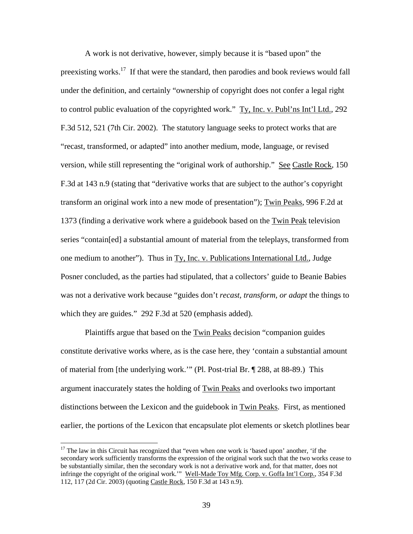A work is not derivative, however, simply because it is "based upon" the preexisting works.<sup>17</sup> If that were the standard, then parodies and book reviews would fall under the definition, and certainly "ownership of copyright does not confer a legal right to control public evaluation of the copyrighted work." Ty, Inc. v. Publ'ns Int'l Ltd., 292 F.3d 512, 521 (7th Cir. 2002). The statutory language seeks to protect works that are "recast, transformed, or adapted" into another medium, mode, language, or revised version, while still representing the "original work of authorship." See Castle Rock, 150 F.3d at 143 n.9 (stating that "derivative works that are subject to the author's copyright transform an original work into a new mode of presentation"); Twin Peaks, 996 F.2d at 1373 (finding a derivative work where a guidebook based on the Twin Peak television series "contain[ed] a substantial amount of material from the teleplays, transformed from one medium to another"). Thus in Ty, Inc. v. Publications International Ltd., Judge Posner concluded, as the parties had stipulated, that a collectors' guide to Beanie Babies was not a derivative work because "guides don't *recast, transform, or adapt* the things to which they are guides." 292 F.3d at 520 (emphasis added).

Plaintiffs argue that based on the Twin Peaks decision "companion guides constitute derivative works where, as is the case here, they 'contain a substantial amount of material from [the underlying work.'" (Pl. Post-trial Br. ¶ 288, at 88-89.) This argument inaccurately states the holding of Twin Peaks and overlooks two important distinctions between the Lexicon and the guidebook in Twin Peaks. First, as mentioned earlier, the portions of the Lexicon that encapsulate plot elements or sketch plotlines bear

 $\overline{a}$ 

 $17$  The law in this Circuit has recognized that "even when one work is 'based upon' another, 'if the secondary work sufficiently transforms the expression of the original work such that the two works cease to be substantially similar, then the secondary work is not a derivative work and, for that matter, does not infringe the copyright of the original work." Well-Made Toy Mfg. Corp. v. Goffa Int'l Corp., 354 F.3d 112, 117 (2d Cir. 2003) (quoting Castle Rock, 150 F.3d at 143 n.9).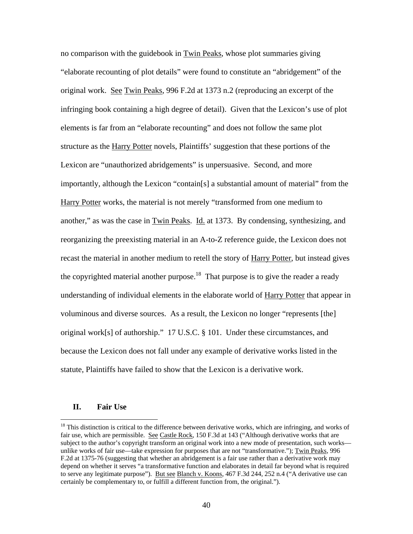no comparison with the guidebook in Twin Peaks, whose plot summaries giving "elaborate recounting of plot details" were found to constitute an "abridgement" of the original work. See Twin Peaks, 996 F.2d at 1373 n.2 (reproducing an excerpt of the infringing book containing a high degree of detail). Given that the Lexicon's use of plot elements is far from an "elaborate recounting" and does not follow the same plot structure as the Harry Potter novels, Plaintiffs' suggestion that these portions of the Lexicon are "unauthorized abridgements" is unpersuasive. Second, and more importantly, although the Lexicon "contain[s] a substantial amount of material" from the Harry Potter works, the material is not merely "transformed from one medium to another," as was the case in Twin Peaks. Id. at 1373. By condensing, synthesizing, and reorganizing the preexisting material in an A-to-Z reference guide, the Lexicon does not recast the material in another medium to retell the story of Harry Potter, but instead gives the copyrighted material another purpose.<sup>18</sup> That purpose is to give the reader a ready understanding of individual elements in the elaborate world of Harry Potter that appear in voluminous and diverse sources. As a result, the Lexicon no longer "represents [the] original work[s] of authorship." 17 U.S.C. § 101. Under these circumstances, and because the Lexicon does not fall under any example of derivative works listed in the statute, Plaintiffs have failed to show that the Lexicon is a derivative work.

#### **II. Fair Use**

<sup>&</sup>lt;sup>18</sup> This distinction is critical to the difference between derivative works, which are infringing, and works of fair use, which are permissible. See Castle Rock, 150 F.3d at 143 ("Although derivative works that are subject to the author's copyright transform an original work into a new mode of presentation, such works unlike works of fair use—take expression for purposes that are not "transformative."); Twin Peaks, 996 F.2d at 1375-76 (suggesting that whether an abridgement is a fair use rather than a derivative work may depend on whether it serves "a transformative function and elaborates in detail far beyond what is required to serve any legitimate purpose"). But see Blanch v. Koons, 467 F.3d 244, 252 n.4 ("A derivative use can certainly be complementary to, or fulfill a different function from, the original.").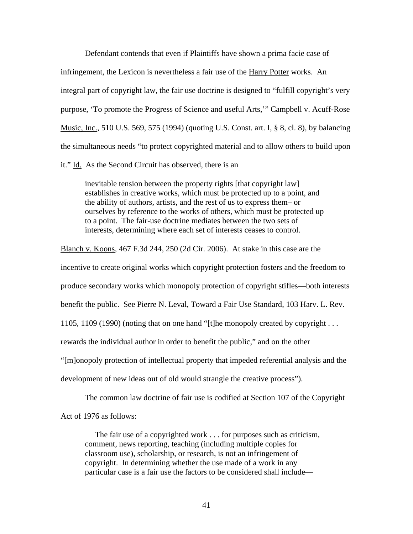Defendant contends that even if Plaintiffs have shown a prima facie case of infringement, the Lexicon is nevertheless a fair use of the Harry Potter works. An integral part of copyright law, the fair use doctrine is designed to "fulfill copyright's very purpose, 'To promote the Progress of Science and useful Arts,'" Campbell v. Acuff-Rose Music, Inc., 510 U.S. 569, 575 (1994) (quoting U.S. Const. art. I, § 8, cl. 8), by balancing the simultaneous needs "to protect copyrighted material and to allow others to build upon it." Id. As the Second Circuit has observed, there is an

inevitable tension between the property rights [that copyright law] establishes in creative works, which must be protected up to a point, and the ability of authors, artists, and the rest of us to express them– or ourselves by reference to the works of others, which must be protected up to a point. The fair-use doctrine mediates between the two sets of interests, determining where each set of interests ceases to control.

Blanch v. Koons, 467 F.3d 244, 250 (2d Cir. 2006). At stake in this case are the incentive to create original works which copyright protection fosters and the freedom to produce secondary works which monopoly protection of copyright stifles—both interests benefit the public. See Pierre N. Leval, Toward a Fair Use Standard, 103 Harv. L. Rev. 1105, 1109 (1990) (noting that on one hand "[t]he monopoly created by copyright . . . rewards the individual author in order to benefit the public," and on the other "[m]onopoly protection of intellectual property that impeded referential analysis and the development of new ideas out of old would strangle the creative process").

The common law doctrine of fair use is codified at Section 107 of the Copyright

Act of 1976 as follows:

 The fair use of a copyrighted work . . . for purposes such as criticism, comment, news reporting, teaching (including multiple copies for classroom use), scholarship, or research, is not an infringement of copyright. In determining whether the use made of a work in any particular case is a fair use the factors to be considered shall include—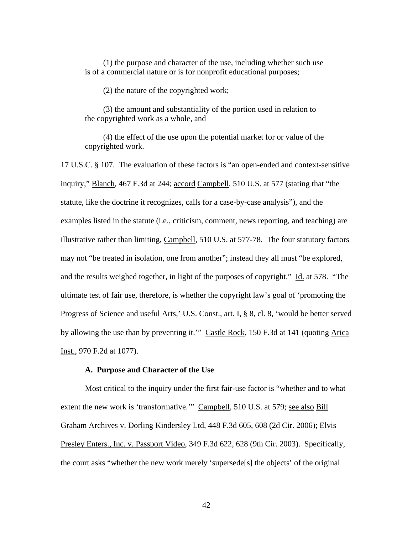(1) the purpose and character of the use, including whether such use is of a commercial nature or is for nonprofit educational purposes;

(2) the nature of the copyrighted work;

(3) the amount and substantiality of the portion used in relation to the copyrighted work as a whole, and

(4) the effect of the use upon the potential market for or value of the copyrighted work.

17 U.S.C. § 107. The evaluation of these factors is "an open-ended and context-sensitive inquiry," Blanch, 467 F.3d at 244; accord Campbell, 510 U.S. at 577 (stating that "the statute, like the doctrine it recognizes, calls for a case-by-case analysis"), and the examples listed in the statute (i.e., criticism, comment, news reporting, and teaching) are illustrative rather than limiting, Campbell, 510 U.S. at 577-78. The four statutory factors may not "be treated in isolation, one from another"; instead they all must "be explored, and the results weighed together, in light of the purposes of copyright." Id. at 578. "The ultimate test of fair use, therefore, is whether the copyright law's goal of 'promoting the Progress of Science and useful Arts,' U.S. Const., art. I, § 8, cl. 8, 'would be better served by allowing the use than by preventing it." Castle Rock, 150 F.3d at 141 (quoting Arica Inst., 970 F.2d at 1077).

# **A. Purpose and Character of the Use**

Most critical to the inquiry under the first fair-use factor is "whether and to what extent the new work is 'transformative.'" Campbell, 510 U.S. at 579; see also Bill Graham Archives v. Dorling Kindersley Ltd, 448 F.3d 605, 608 (2d Cir. 2006); Elvis Presley Enters., Inc. v. Passport Video, 349 F.3d 622, 628 (9th Cir. 2003). Specifically, the court asks "whether the new work merely 'supersede[s] the objects' of the original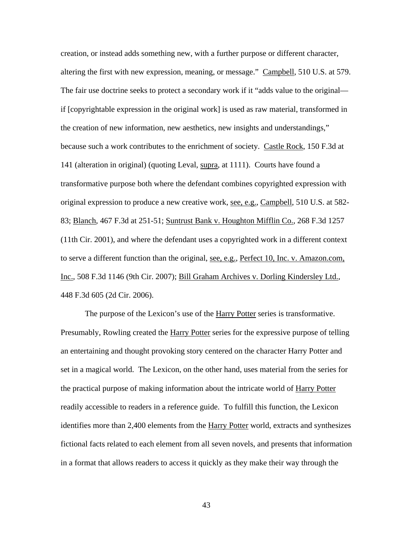creation, or instead adds something new, with a further purpose or different character, altering the first with new expression, meaning, or message." Campbell, 510 U.S. at 579. The fair use doctrine seeks to protect a secondary work if it "adds value to the original if [copyrightable expression in the original work] is used as raw material, transformed in the creation of new information, new aesthetics, new insights and understandings," because such a work contributes to the enrichment of society. Castle Rock, 150 F.3d at 141 (alteration in original) (quoting Leval, supra, at 1111). Courts have found a transformative purpose both where the defendant combines copyrighted expression with original expression to produce a new creative work, see, e.g., Campbell, 510 U.S. at 582- 83; Blanch, 467 F.3d at 251-51; Suntrust Bank v. Houghton Mifflin Co., 268 F.3d 1257 (11th Cir. 2001), and where the defendant uses a copyrighted work in a different context to serve a different function than the original, see, e.g., Perfect 10, Inc. v. Amazon.com, Inc., 508 F.3d 1146 (9th Cir. 2007); Bill Graham Archives v. Dorling Kindersley Ltd., 448 F.3d 605 (2d Cir. 2006).

The purpose of the Lexicon's use of the Harry Potter series is transformative. Presumably, Rowling created the Harry Potter series for the expressive purpose of telling an entertaining and thought provoking story centered on the character Harry Potter and set in a magical world. The Lexicon, on the other hand, uses material from the series for the practical purpose of making information about the intricate world of Harry Potter readily accessible to readers in a reference guide. To fulfill this function, the Lexicon identifies more than 2,400 elements from the Harry Potter world, extracts and synthesizes fictional facts related to each element from all seven novels, and presents that information in a format that allows readers to access it quickly as they make their way through the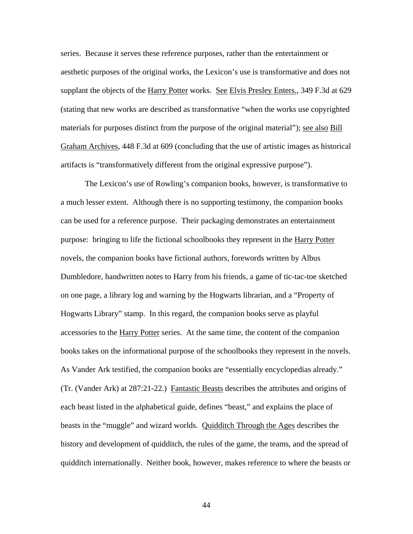series. Because it serves these reference purposes, rather than the entertainment or aesthetic purposes of the original works, the Lexicon's use is transformative and does not supplant the objects of the Harry Potter works. See Elvis Presley Enters., 349 F.3d at 629 (stating that new works are described as transformative "when the works use copyrighted materials for purposes distinct from the purpose of the original material"); see also Bill Graham Archives, 448 F.3d at 609 (concluding that the use of artistic images as historical artifacts is "transformatively different from the original expressive purpose").

The Lexicon's use of Rowling's companion books, however, is transformative to a much lesser extent. Although there is no supporting testimony, the companion books can be used for a reference purpose. Their packaging demonstrates an entertainment purpose: bringing to life the fictional schoolbooks they represent in the Harry Potter novels, the companion books have fictional authors, forewords written by Albus Dumbledore, handwritten notes to Harry from his friends, a game of tic-tac-toe sketched on one page, a library log and warning by the Hogwarts librarian, and a "Property of Hogwarts Library" stamp. In this regard, the companion books serve as playful accessories to the Harry Potter series. At the same time, the content of the companion books takes on the informational purpose of the schoolbooks they represent in the novels. As Vander Ark testified, the companion books are "essentially encyclopedias already." (Tr. (Vander Ark) at 287:21-22.) Fantastic Beasts describes the attributes and origins of each beast listed in the alphabetical guide, defines "beast," and explains the place of beasts in the "muggle" and wizard worlds. Quidditch Through the Ages describes the history and development of quidditch, the rules of the game, the teams, and the spread of quidditch internationally. Neither book, however, makes reference to where the beasts or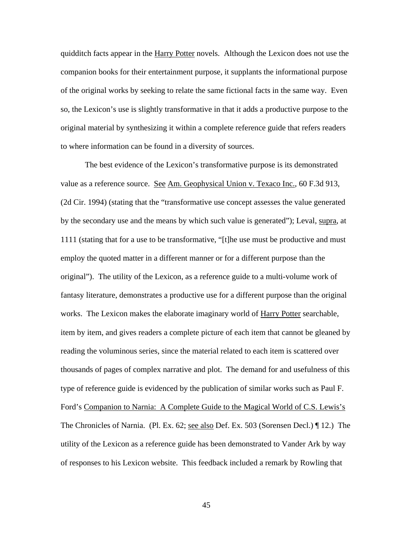quidditch facts appear in the Harry Potter novels. Although the Lexicon does not use the companion books for their entertainment purpose, it supplants the informational purpose of the original works by seeking to relate the same fictional facts in the same way. Even so, the Lexicon's use is slightly transformative in that it adds a productive purpose to the original material by synthesizing it within a complete reference guide that refers readers to where information can be found in a diversity of sources.

The best evidence of the Lexicon's transformative purpose is its demonstrated value as a reference source. See Am. Geophysical Union v. Texaco Inc., 60 F.3d 913, (2d Cir. 1994) (stating that the "transformative use concept assesses the value generated by the secondary use and the means by which such value is generated"); Leval, supra, at 1111 (stating that for a use to be transformative, "[t]he use must be productive and must employ the quoted matter in a different manner or for a different purpose than the original"). The utility of the Lexicon, as a reference guide to a multi-volume work of fantasy literature, demonstrates a productive use for a different purpose than the original works. The Lexicon makes the elaborate imaginary world of Harry Potter searchable, item by item, and gives readers a complete picture of each item that cannot be gleaned by reading the voluminous series, since the material related to each item is scattered over thousands of pages of complex narrative and plot. The demand for and usefulness of this type of reference guide is evidenced by the publication of similar works such as Paul F. Ford's Companion to Narnia: A Complete Guide to the Magical World of C.S. Lewis's The Chronicles of Narnia. (Pl. Ex. 62; see also Def. Ex. 503 (Sorensen Decl.) ¶ 12.) The utility of the Lexicon as a reference guide has been demonstrated to Vander Ark by way of responses to his Lexicon website. This feedback included a remark by Rowling that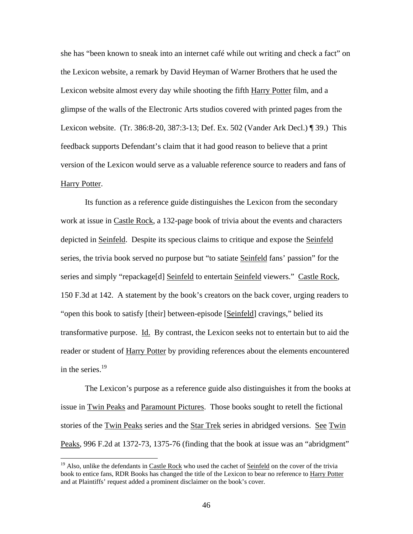she has "been known to sneak into an internet café while out writing and check a fact" on the Lexicon website, a remark by David Heyman of Warner Brothers that he used the Lexicon website almost every day while shooting the fifth Harry Potter film, and a glimpse of the walls of the Electronic Arts studios covered with printed pages from the Lexicon website. (Tr. 386:8-20, 387:3-13; Def. Ex. 502 (Vander Ark Decl.) ¶ 39.) This feedback supports Defendant's claim that it had good reason to believe that a print version of the Lexicon would serve as a valuable reference source to readers and fans of Harry Potter.

Its function as a reference guide distinguishes the Lexicon from the secondary work at issue in Castle Rock, a 132-page book of trivia about the events and characters depicted in Seinfeld. Despite its specious claims to critique and expose the Seinfeld series, the trivia book served no purpose but "to satiate Seinfeld fans' passion" for the series and simply "repackage[d] Seinfeld to entertain Seinfeld viewers." Castle Rock, 150 F.3d at 142. A statement by the book's creators on the back cover, urging readers to "open this book to satisfy [their] between-episode [Seinfeld] cravings," belied its transformative purpose. Id. By contrast, the Lexicon seeks not to entertain but to aid the reader or student of Harry Potter by providing references about the elements encountered in the series.19

 The Lexicon's purpose as a reference guide also distinguishes it from the books at issue in Twin Peaks and Paramount Pictures. Those books sought to retell the fictional stories of the Twin Peaks series and the Star Trek series in abridged versions. See Twin Peaks, 996 F.2d at 1372-73, 1375-76 (finding that the book at issue was an "abridgment"

 $\overline{a}$ 

 $<sup>19</sup>$  Also, unlike the defendants in Castle Rock who used the cachet of Seinfeld on the cover of the trivia</sup> book to entice fans, RDR Books has changed the title of the Lexicon to bear no reference to Harry Potter and at Plaintiffs' request added a prominent disclaimer on the book's cover.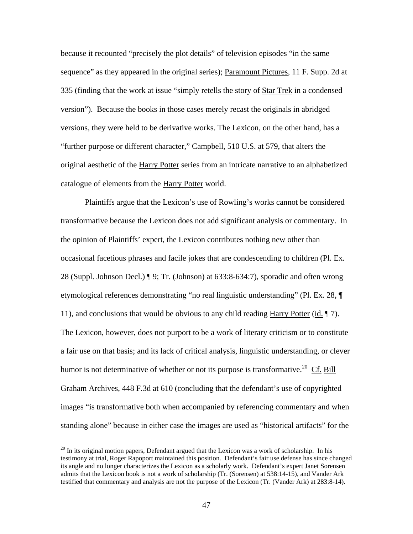because it recounted "precisely the plot details" of television episodes "in the same sequence" as they appeared in the original series); Paramount Pictures, 11 F. Supp. 2d at 335 (finding that the work at issue "simply retells the story of Star Trek in a condensed version"). Because the books in those cases merely recast the originals in abridged versions, they were held to be derivative works. The Lexicon, on the other hand, has a "further purpose or different character," Campbell, 510 U.S. at 579, that alters the original aesthetic of the Harry Potter series from an intricate narrative to an alphabetized catalogue of elements from the Harry Potter world.

Plaintiffs argue that the Lexicon's use of Rowling's works cannot be considered transformative because the Lexicon does not add significant analysis or commentary. In the opinion of Plaintiffs' expert, the Lexicon contributes nothing new other than occasional facetious phrases and facile jokes that are condescending to children (Pl. Ex. 28 (Suppl. Johnson Decl.) ¶ 9; Tr. (Johnson) at 633:8-634:7), sporadic and often wrong etymological references demonstrating "no real linguistic understanding" (Pl. Ex. 28, ¶ 11), and conclusions that would be obvious to any child reading Harry Potter (id. ¶ 7). The Lexicon, however, does not purport to be a work of literary criticism or to constitute a fair use on that basis; and its lack of critical analysis, linguistic understanding, or clever humor is not determinative of whether or not its purpose is transformative.<sup>20</sup> Cf. Bill Graham Archives, 448 F.3d at 610 (concluding that the defendant's use of copyrighted images "is transformative both when accompanied by referencing commentary and when standing alone" because in either case the images are used as "historical artifacts" for the

 $\overline{a}$ 

<sup>&</sup>lt;sup>20</sup> In its original motion papers, Defendant argued that the Lexicon was a work of scholarship. In his testimony at trial, Roger Rapoport maintained this position. Defendant's fair use defense has since changed its angle and no longer characterizes the Lexicon as a scholarly work. Defendant's expert Janet Sorensen admits that the Lexicon book is not a work of scholarship (Tr. (Sorensen) at 538:14-15), and Vander Ark testified that commentary and analysis are not the purpose of the Lexicon (Tr. (Vander Ark) at 283:8-14).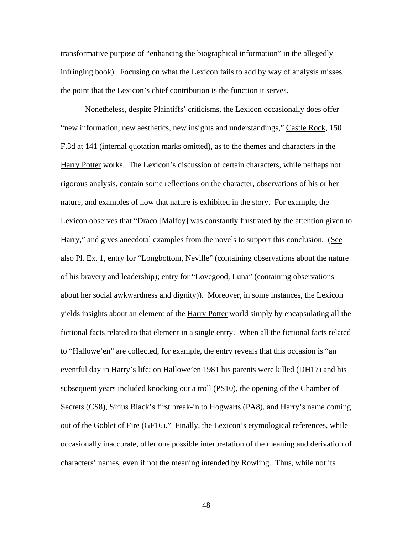transformative purpose of "enhancing the biographical information" in the allegedly infringing book). Focusing on what the Lexicon fails to add by way of analysis misses the point that the Lexicon's chief contribution is the function it serves.

Nonetheless, despite Plaintiffs' criticisms, the Lexicon occasionally does offer "new information, new aesthetics, new insights and understandings," Castle Rock, 150 F.3d at 141 (internal quotation marks omitted), as to the themes and characters in the Harry Potter works. The Lexicon's discussion of certain characters, while perhaps not rigorous analysis, contain some reflections on the character, observations of his or her nature, and examples of how that nature is exhibited in the story. For example, the Lexicon observes that "Draco [Malfoy] was constantly frustrated by the attention given to Harry," and gives anecdotal examples from the novels to support this conclusion. (See also Pl. Ex. 1, entry for "Longbottom, Neville" (containing observations about the nature of his bravery and leadership); entry for "Lovegood, Luna" (containing observations about her social awkwardness and dignity)). Moreover, in some instances, the Lexicon yields insights about an element of the Harry Potter world simply by encapsulating all the fictional facts related to that element in a single entry. When all the fictional facts related to "Hallowe'en" are collected, for example, the entry reveals that this occasion is "an eventful day in Harry's life; on Hallowe'en 1981 his parents were killed (DH17) and his subsequent years included knocking out a troll (PS10), the opening of the Chamber of Secrets (CS8), Sirius Black's first break-in to Hogwarts (PA8), and Harry's name coming out of the Goblet of Fire (GF16)." Finally, the Lexicon's etymological references, while occasionally inaccurate, offer one possible interpretation of the meaning and derivation of characters' names, even if not the meaning intended by Rowling. Thus, while not its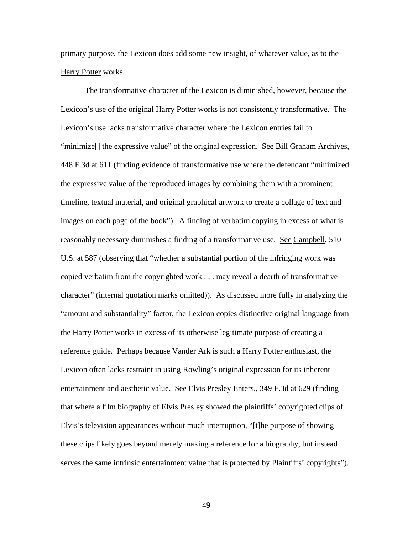primary purpose, the Lexicon does add some new insight, of whatever value, as to the Harry Potter works.

The transformative character of the Lexicon is diminished, however, because the Lexicon's use of the original Harry Potter works is not consistently transformative. The Lexicon's use lacks transformative character where the Lexicon entries fail to "minimize[] the expressive value" of the original expression. See Bill Graham Archives, 448 F.3d at 611 (finding evidence of transformative use where the defendant "minimized the expressive value of the reproduced images by combining them with a prominent timeline, textual material, and original graphical artwork to create a collage of text and images on each page of the book"). A finding of verbatim copying in excess of what is reasonably necessary diminishes a finding of a transformative use. See Campbell, 510 U.S. at 587 (observing that "whether a substantial portion of the infringing work was copied verbatim from the copyrighted work . . . may reveal a dearth of transformative character" (internal quotation marks omitted)). As discussed more fully in analyzing the "amount and substantiality" factor, the Lexicon copies distinctive original language from the Harry Potter works in excess of its otherwise legitimate purpose of creating a reference guide. Perhaps because Vander Ark is such a Harry Potter enthusiast, the Lexicon often lacks restraint in using Rowling's original expression for its inherent entertainment and aesthetic value. See Elvis Presley Enters., 349 F.3d at 629 (finding that where a film biography of Elvis Presley showed the plaintiffs' copyrighted clips of Elvis's television appearances without much interruption, "[t]he purpose of showing these clips likely goes beyond merely making a reference for a biography, but instead serves the same intrinsic entertainment value that is protected by Plaintiffs' copyrights").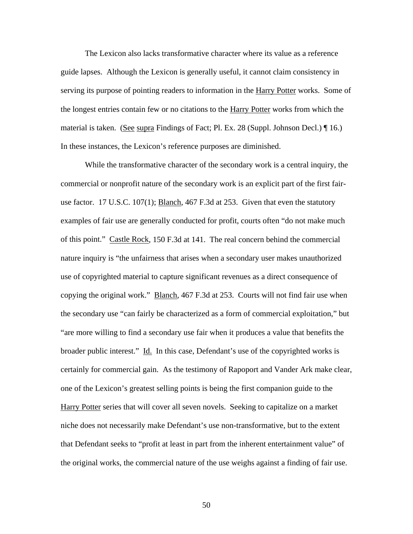The Lexicon also lacks transformative character where its value as a reference guide lapses. Although the Lexicon is generally useful, it cannot claim consistency in serving its purpose of pointing readers to information in the Harry Potter works. Some of the longest entries contain few or no citations to the Harry Potter works from which the material is taken. (See supra Findings of Fact; Pl. Ex. 28 (Suppl. Johnson Decl.) ¶ 16.) In these instances, the Lexicon's reference purposes are diminished.

While the transformative character of the secondary work is a central inquiry, the commercial or nonprofit nature of the secondary work is an explicit part of the first fairuse factor. 17 U.S.C. 107(1); Blanch, 467 F.3d at 253. Given that even the statutory examples of fair use are generally conducted for profit, courts often "do not make much of this point." Castle Rock, 150 F.3d at 141. The real concern behind the commercial nature inquiry is "the unfairness that arises when a secondary user makes unauthorized use of copyrighted material to capture significant revenues as a direct consequence of copying the original work." **Blanch**, 467 F.3d at 253. Courts will not find fair use when the secondary use "can fairly be characterized as a form of commercial exploitation," but "are more willing to find a secondary use fair when it produces a value that benefits the broader public interest." Id. In this case, Defendant's use of the copyrighted works is certainly for commercial gain. As the testimony of Rapoport and Vander Ark make clear, one of the Lexicon's greatest selling points is being the first companion guide to the Harry Potter series that will cover all seven novels. Seeking to capitalize on a market niche does not necessarily make Defendant's use non-transformative, but to the extent that Defendant seeks to "profit at least in part from the inherent entertainment value" of the original works, the commercial nature of the use weighs against a finding of fair use.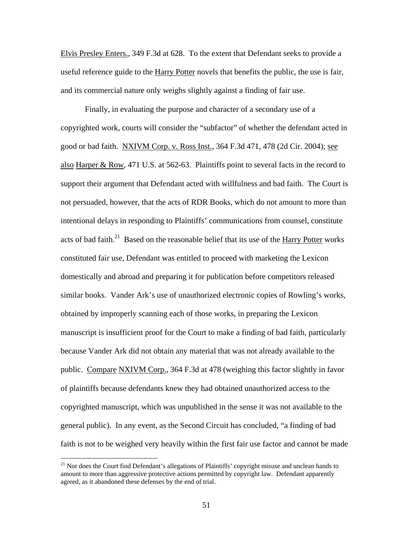Elvis Presley Enters., 349 F.3d at 628. To the extent that Defendant seeks to provide a useful reference guide to the Harry Potter novels that benefits the public, the use is fair, and its commercial nature only weighs slightly against a finding of fair use.

Finally, in evaluating the purpose and character of a secondary use of a copyrighted work, courts will consider the "subfactor" of whether the defendant acted in good or bad faith. NXIVM Corp. v. Ross Inst., 364 F.3d 471, 478 (2d Cir. 2004); see also Harper & Row, 471 U.S. at 562-63. Plaintiffs point to several facts in the record to support their argument that Defendant acted with willfulness and bad faith. The Court is not persuaded, however, that the acts of RDR Books, which do not amount to more than intentional delays in responding to Plaintiffs' communications from counsel, constitute acts of bad faith.<sup>21</sup> Based on the reasonable belief that its use of the Harry Potter works constituted fair use, Defendant was entitled to proceed with marketing the Lexicon domestically and abroad and preparing it for publication before competitors released similar books. Vander Ark's use of unauthorized electronic copies of Rowling's works, obtained by improperly scanning each of those works, in preparing the Lexicon manuscript is insufficient proof for the Court to make a finding of bad faith, particularly because Vander Ark did not obtain any material that was not already available to the public. Compare NXIVM Corp., 364 F.3d at 478 (weighing this factor slightly in favor of plaintiffs because defendants knew they had obtained unauthorized access to the copyrighted manuscript, which was unpublished in the sense it was not available to the general public). In any event, as the Second Circuit has concluded, "a finding of bad faith is not to be weighed very heavily within the first fair use factor and cannot be made

 $\overline{a}$ 

<sup>&</sup>lt;sup>21</sup> Nor does the Court find Defendant's allegations of Plaintiffs' copyright misuse and unclean hands to amount to more than aggressive protective actions permitted by copyright law. Defendant apparently agreed, as it abandoned these defenses by the end of trial.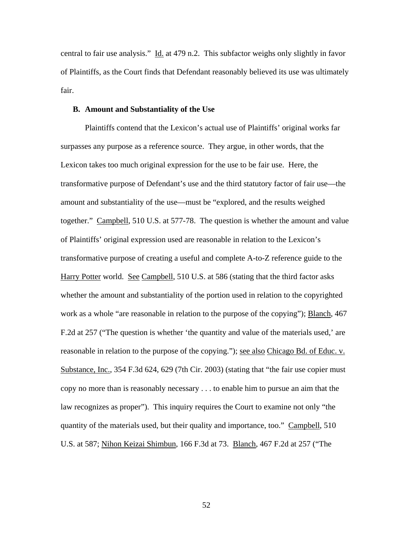central to fair use analysis." Id. at 479 n.2. This subfactor weighs only slightly in favor of Plaintiffs, as the Court finds that Defendant reasonably believed its use was ultimately fair.

#### **B. Amount and Substantiality of the Use**

Plaintiffs contend that the Lexicon's actual use of Plaintiffs' original works far surpasses any purpose as a reference source. They argue, in other words, that the Lexicon takes too much original expression for the use to be fair use. Here, the transformative purpose of Defendant's use and the third statutory factor of fair use—the amount and substantiality of the use—must be "explored, and the results weighed together." Campbell, 510 U.S. at 577-78. The question is whether the amount and value of Plaintiffs' original expression used are reasonable in relation to the Lexicon's transformative purpose of creating a useful and complete A-to-Z reference guide to the Harry Potter world. See Campbell, 510 U.S. at 586 (stating that the third factor asks whether the amount and substantiality of the portion used in relation to the copyrighted work as a whole "are reasonable in relation to the purpose of the copying"); Blanch, 467 F.2d at 257 ("The question is whether 'the quantity and value of the materials used,' are reasonable in relation to the purpose of the copying."); <u>see also Chicago Bd. of Educ. v.</u> Substance, Inc., 354 F.3d 624, 629 (7th Cir. 2003) (stating that "the fair use copier must copy no more than is reasonably necessary . . . to enable him to pursue an aim that the law recognizes as proper"). This inquiry requires the Court to examine not only "the quantity of the materials used, but their quality and importance, too." Campbell, 510 U.S. at 587; Nihon Keizai Shimbun, 166 F.3d at 73. Blanch, 467 F.2d at 257 ("The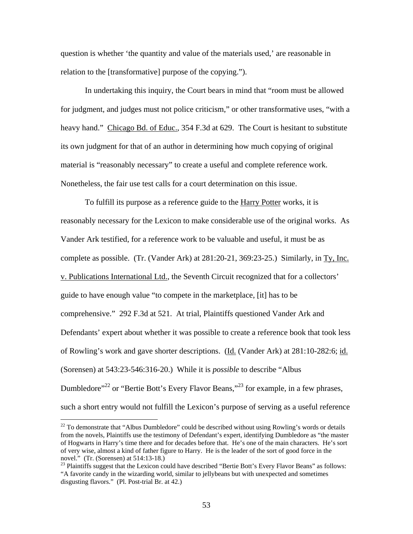question is whether 'the quantity and value of the materials used,' are reasonable in relation to the [transformative] purpose of the copying.").

In undertaking this inquiry, the Court bears in mind that "room must be allowed for judgment, and judges must not police criticism," or other transformative uses, "with a heavy hand." Chicago Bd. of Educ., 354 F.3d at 629. The Court is hesitant to substitute its own judgment for that of an author in determining how much copying of original material is "reasonably necessary" to create a useful and complete reference work. Nonetheless, the fair use test calls for a court determination on this issue.

To fulfill its purpose as a reference guide to the Harry Potter works, it is reasonably necessary for the Lexicon to make considerable use of the original works. As Vander Ark testified, for a reference work to be valuable and useful, it must be as complete as possible. (Tr. (Vander Ark) at 281:20-21, 369:23-25.) Similarly, in Ty, Inc. v. Publications International Ltd., the Seventh Circuit recognized that for a collectors' guide to have enough value "to compete in the marketplace, [it] has to be comprehensive." 292 F.3d at 521. At trial, Plaintiffs questioned Vander Ark and Defendants' expert about whether it was possible to create a reference book that took less of Rowling's work and gave shorter descriptions. (Id. (Vander Ark) at 281:10-282:6; id. (Sorensen) at 543:23-546:316-20.) While it is *possible* to describe "Albus Dumbledore<sup>"22</sup> or "Bertie Bott's Every Flavor Beans,"<sup>23</sup> for example, in a few phrases, such a short entry would not fulfill the Lexicon's purpose of serving as a useful reference

 $\overline{a}$ 

 $^{22}$  To demonstrate that "Albus Dumbledore" could be described without using Rowling's words or details from the novels, Plaintiffs use the testimony of Defendant's expert, identifying Dumbledore as "the master of Hogwarts in Harry's time there and for decades before that. He's one of the main characters. He's sort of very wise, almost a kind of father figure to Harry. He is the leader of the sort of good force in the novel." (Tr. (Sorensen) at 514:13-18.)

<sup>&</sup>lt;sup>23</sup> Plaintiffs suggest that the Lexicon could have described "Bertie Bott's Every Flavor Beans" as follows: "A favorite candy in the wizarding world, similar to jellybeans but with unexpected and sometimes disgusting flavors." (Pl. Post-trial Br. at 42.)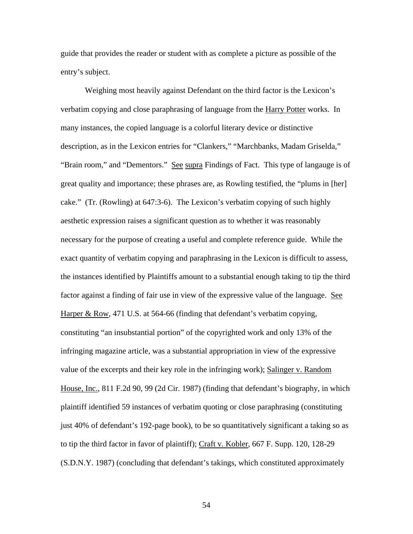guide that provides the reader or student with as complete a picture as possible of the entry's subject.

Weighing most heavily against Defendant on the third factor is the Lexicon's verbatim copying and close paraphrasing of language from the Harry Potter works. In many instances, the copied language is a colorful literary device or distinctive description, as in the Lexicon entries for "Clankers," "Marchbanks, Madam Griselda," "Brain room," and "Dementors." See supra Findings of Fact. This type of langauge is of great quality and importance; these phrases are, as Rowling testified, the "plums in [her] cake." (Tr. (Rowling) at 647:3-6). The Lexicon's verbatim copying of such highly aesthetic expression raises a significant question as to whether it was reasonably necessary for the purpose of creating a useful and complete reference guide. While the exact quantity of verbatim copying and paraphrasing in the Lexicon is difficult to assess, the instances identified by Plaintiffs amount to a substantial enough taking to tip the third factor against a finding of fair use in view of the expressive value of the language. See Harper & Row, 471 U.S. at 564-66 (finding that defendant's verbatim copying, constituting "an insubstantial portion" of the copyrighted work and only 13% of the infringing magazine article, was a substantial appropriation in view of the expressive value of the excerpts and their key role in the infringing work); Salinger v. Random House, Inc., 811 F.2d 90, 99 (2d Cir. 1987) (finding that defendant's biography, in which plaintiff identified 59 instances of verbatim quoting or close paraphrasing (constituting just 40% of defendant's 192-page book), to be so quantitatively significant a taking so as to tip the third factor in favor of plaintiff); Craft v. Kobler, 667 F. Supp. 120, 128-29 (S.D.N.Y. 1987) (concluding that defendant's takings, which constituted approximately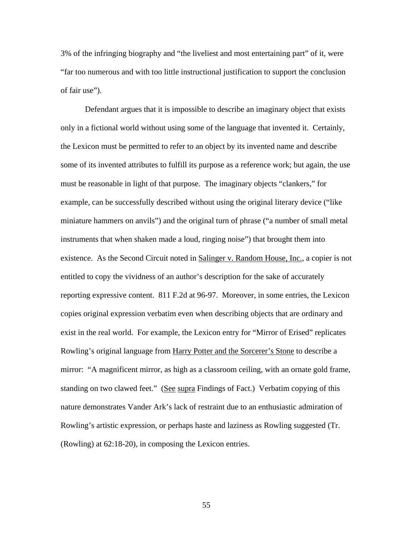3% of the infringing biography and "the liveliest and most entertaining part" of it, were "far too numerous and with too little instructional justification to support the conclusion of fair use").

Defendant argues that it is impossible to describe an imaginary object that exists only in a fictional world without using some of the language that invented it. Certainly, the Lexicon must be permitted to refer to an object by its invented name and describe some of its invented attributes to fulfill its purpose as a reference work; but again, the use must be reasonable in light of that purpose. The imaginary objects "clankers," for example, can be successfully described without using the original literary device ("like miniature hammers on anvils") and the original turn of phrase ("a number of small metal instruments that when shaken made a loud, ringing noise") that brought them into existence. As the Second Circuit noted in Salinger v. Random House, Inc., a copier is not entitled to copy the vividness of an author's description for the sake of accurately reporting expressive content. 811 F.2d at 96-97. Moreover, in some entries, the Lexicon copies original expression verbatim even when describing objects that are ordinary and exist in the real world. For example, the Lexicon entry for "Mirror of Erised" replicates Rowling's original language from Harry Potter and the Sorcerer's Stone to describe a mirror: "A magnificent mirror, as high as a classroom ceiling, with an ornate gold frame, standing on two clawed feet." (See supra Findings of Fact.) Verbatim copying of this nature demonstrates Vander Ark's lack of restraint due to an enthusiastic admiration of Rowling's artistic expression, or perhaps haste and laziness as Rowling suggested (Tr. (Rowling) at 62:18-20), in composing the Lexicon entries.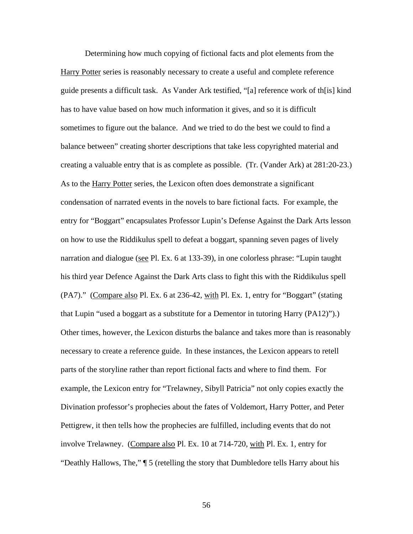Determining how much copying of fictional facts and plot elements from the Harry Potter series is reasonably necessary to create a useful and complete reference guide presents a difficult task. As Vander Ark testified, "[a] reference work of th[is] kind has to have value based on how much information it gives, and so it is difficult sometimes to figure out the balance. And we tried to do the best we could to find a balance between" creating shorter descriptions that take less copyrighted material and creating a valuable entry that is as complete as possible. (Tr. (Vander Ark) at 281:20-23.) As to the Harry Potter series, the Lexicon often does demonstrate a significant condensation of narrated events in the novels to bare fictional facts. For example, the entry for "Boggart" encapsulates Professor Lupin's Defense Against the Dark Arts lesson on how to use the Riddikulus spell to defeat a boggart, spanning seven pages of lively narration and dialogue (see Pl. Ex. 6 at 133-39), in one colorless phrase: "Lupin taught his third year Defence Against the Dark Arts class to fight this with the Riddikulus spell (PA7)." (Compare also Pl. Ex. 6 at 236-42, with Pl. Ex. 1, entry for "Boggart" (stating that Lupin "used a boggart as a substitute for a Dementor in tutoring Harry (PA12)").) Other times, however, the Lexicon disturbs the balance and takes more than is reasonably necessary to create a reference guide. In these instances, the Lexicon appears to retell parts of the storyline rather than report fictional facts and where to find them. For example, the Lexicon entry for "Trelawney, Sibyll Patricia" not only copies exactly the Divination professor's prophecies about the fates of Voldemort, Harry Potter, and Peter Pettigrew, it then tells how the prophecies are fulfilled, including events that do not involve Trelawney. (Compare also Pl. Ex. 10 at 714-720, with Pl. Ex. 1, entry for "Deathly Hallows, The," ¶ 5 (retelling the story that Dumbledore tells Harry about his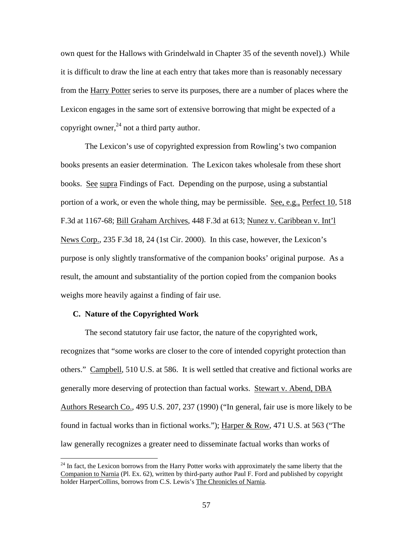own quest for the Hallows with Grindelwald in Chapter 35 of the seventh novel).) While it is difficult to draw the line at each entry that takes more than is reasonably necessary from the Harry Potter series to serve its purposes, there are a number of places where the Lexicon engages in the same sort of extensive borrowing that might be expected of a copyright owner,  $^{24}$  not a third party author.

The Lexicon's use of copyrighted expression from Rowling's two companion books presents an easier determination. The Lexicon takes wholesale from these short books. See supra Findings of Fact. Depending on the purpose, using a substantial portion of a work, or even the whole thing, may be permissible. See, e.g., Perfect 10, 518 F.3d at 1167-68; Bill Graham Archives, 448 F.3d at 613; Nunez v. Caribbean v. Int'l News Corp., 235 F.3d 18, 24 (1st Cir. 2000). In this case, however, the Lexicon's purpose is only slightly transformative of the companion books' original purpose. As a result, the amount and substantiality of the portion copied from the companion books weighs more heavily against a finding of fair use.

#### **C. Nature of the Copyrighted Work**

 $\overline{a}$ 

The second statutory fair use factor, the nature of the copyrighted work, recognizes that "some works are closer to the core of intended copyright protection than others." Campbell, 510 U.S. at 586. It is well settled that creative and fictional works are generally more deserving of protection than factual works. Stewart v. Abend, DBA Authors Research Co., 495 U.S. 207, 237 (1990) ("In general, fair use is more likely to be found in factual works than in fictional works."); Harper & Row, 471 U.S. at 563 ("The law generally recognizes a greater need to disseminate factual works than works of

<sup>&</sup>lt;sup>24</sup> In fact, the Lexicon borrows from the Harry Potter works with approximately the same liberty that the Companion to Narnia (Pl. Ex. 62), written by third-party author Paul F. Ford and published by copyright holder HarperCollins, borrows from C.S. Lewis's The Chronicles of Narnia.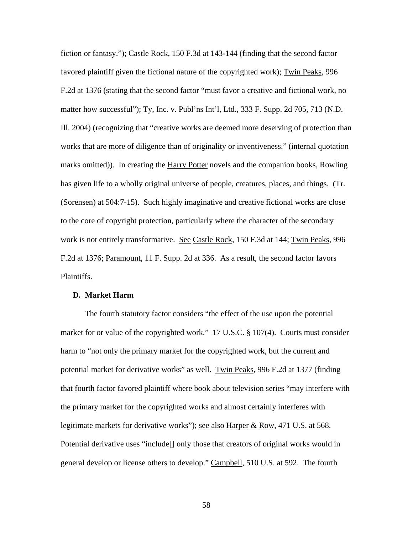fiction or fantasy."); Castle Rock, 150 F.3d at 143**-**144 (finding that the second factor favored plaintiff given the fictional nature of the copyrighted work); Twin Peaks, 996 F.2d at 1376 (stating that the second factor "must favor a creative and fictional work, no matter how successful"); Ty, Inc. v. Publ'ns Int'l, Ltd., 333 F. Supp. 2d 705, 713 (N.D. Ill. 2004) (recognizing that "creative works are deemed more deserving of protection than works that are more of diligence than of originality or inventiveness." (internal quotation marks omitted)). In creating the Harry Potter novels and the companion books, Rowling has given life to a wholly original universe of people, creatures, places, and things. (Tr. (Sorensen) at 504:7-15). Such highly imaginative and creative fictional works are close to the core of copyright protection, particularly where the character of the secondary work is not entirely transformative. See Castle Rock, 150 F.3d at 144; Twin Peaks, 996 F.2d at 1376; Paramount, 11 F. Supp. 2d at 336. As a result, the second factor favors Plaintiffs.

# **D. Market Harm**

The fourth statutory factor considers "the effect of the use upon the potential market for or value of the copyrighted work." 17 U.S.C. § 107(4). Courts must consider harm to "not only the primary market for the copyrighted work, but the current and potential market for derivative works" as well. Twin Peaks, 996 F.2d at 1377 (finding that fourth factor favored plaintiff where book about television series "may interfere with the primary market for the copyrighted works and almost certainly interferes with legitimate markets for derivative works"); see also Harper & Row, 471 U.S. at 568. Potential derivative uses "include[] only those that creators of original works would in general develop or license others to develop." Campbell, 510 U.S. at 592. The fourth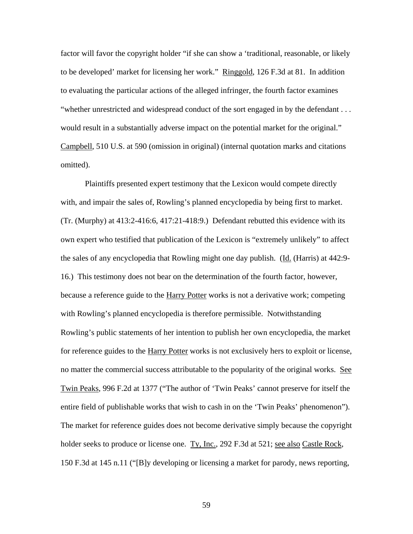factor will favor the copyright holder "if she can show a 'traditional, reasonable, or likely to be developed' market for licensing her work." Ringgold, 126 F.3d at 81. In addition to evaluating the particular actions of the alleged infringer, the fourth factor examines "whether unrestricted and widespread conduct of the sort engaged in by the defendant . . . would result in a substantially adverse impact on the potential market for the original." Campbell, 510 U.S. at 590 (omission in original) (internal quotation marks and citations omitted).

Plaintiffs presented expert testimony that the Lexicon would compete directly with, and impair the sales of, Rowling's planned encyclopedia by being first to market. (Tr. (Murphy) at 413:2-416:6, 417:21-418:9.) Defendant rebutted this evidence with its own expert who testified that publication of the Lexicon is "extremely unlikely" to affect the sales of any encyclopedia that Rowling might one day publish.  $(\underline{Id}$ . (Harris) at 442:9-16.) This testimony does not bear on the determination of the fourth factor, however, because a reference guide to the Harry Potter works is not a derivative work; competing with Rowling's planned encyclopedia is therefore permissible. Notwithstanding Rowling's public statements of her intention to publish her own encyclopedia, the market for reference guides to the **Harry Potter** works is not exclusively hers to exploit or license, no matter the commercial success attributable to the popularity of the original works. See Twin Peaks, 996 F.2d at 1377 ("The author of 'Twin Peaks' cannot preserve for itself the entire field of publishable works that wish to cash in on the 'Twin Peaks' phenomenon"). The market for reference guides does not become derivative simply because the copyright holder seeks to produce or license one. Ty, Inc., 292 F.3d at 521; see also Castle Rock, 150 F.3d at 145 n.11 ("[B]y developing or licensing a market for parody, news reporting,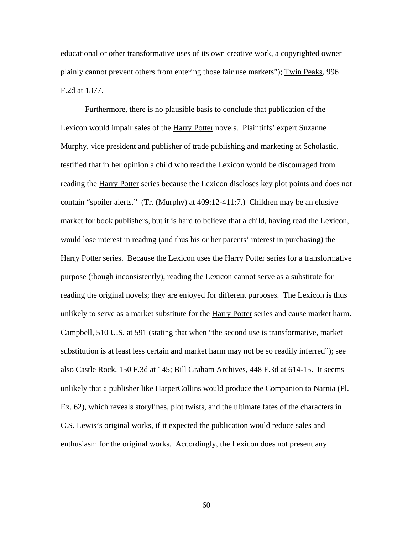educational or other transformative uses of its own creative work, a copyrighted owner plainly cannot prevent others from entering those fair use markets"); Twin Peaks, 996 F.2d at 1377.

Furthermore, there is no plausible basis to conclude that publication of the Lexicon would impair sales of the Harry Potter novels. Plaintiffs' expert Suzanne Murphy, vice president and publisher of trade publishing and marketing at Scholastic, testified that in her opinion a child who read the Lexicon would be discouraged from reading the Harry Potter series because the Lexicon discloses key plot points and does not contain "spoiler alerts." (Tr. (Murphy) at 409:12-411:7.) Children may be an elusive market for book publishers, but it is hard to believe that a child, having read the Lexicon, would lose interest in reading (and thus his or her parents' interest in purchasing) the Harry Potter series. Because the Lexicon uses the Harry Potter series for a transformative purpose (though inconsistently), reading the Lexicon cannot serve as a substitute for reading the original novels; they are enjoyed for different purposes. The Lexicon is thus unlikely to serve as a market substitute for the Harry Potter series and cause market harm. Campbell, 510 U.S. at 591 (stating that when "the second use is transformative, market substitution is at least less certain and market harm may not be so readily inferred"); see also Castle Rock, 150 F.3d at 145; Bill Graham Archives, 448 F.3d at 614-15. It seems unlikely that a publisher like HarperCollins would produce the Companion to Narnia (Pl. Ex. 62), which reveals storylines, plot twists, and the ultimate fates of the characters in C.S. Lewis's original works, if it expected the publication would reduce sales and enthusiasm for the original works. Accordingly, the Lexicon does not present any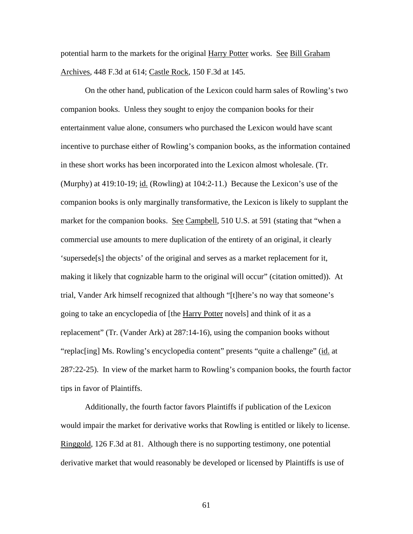potential harm to the markets for the original Harry Potter works. See Bill Graham Archives, 448 F.3d at 614; Castle Rock, 150 F.3d at 145.

On the other hand, publication of the Lexicon could harm sales of Rowling's two companion books. Unless they sought to enjoy the companion books for their entertainment value alone, consumers who purchased the Lexicon would have scant incentive to purchase either of Rowling's companion books, as the information contained in these short works has been incorporated into the Lexicon almost wholesale. (Tr. (Murphy) at 419:10-19; id. (Rowling) at 104:2-11.) Because the Lexicon's use of the companion books is only marginally transformative, the Lexicon is likely to supplant the market for the companion books. See Campbell, 510 U.S. at 591 (stating that "when a commercial use amounts to mere duplication of the entirety of an original, it clearly 'supersede[s] the objects' of the original and serves as a market replacement for it, making it likely that cognizable harm to the original will occur" (citation omitted)). At trial, Vander Ark himself recognized that although "[t]here's no way that someone's going to take an encyclopedia of [the Harry Potter novels] and think of it as a replacement" (Tr. (Vander Ark) at 287:14-16), using the companion books without "replac[ing] Ms. Rowling's encyclopedia content" presents "quite a challenge" (id. at 287:22-25). In view of the market harm to Rowling's companion books, the fourth factor tips in favor of Plaintiffs.

Additionally, the fourth factor favors Plaintiffs if publication of the Lexicon would impair the market for derivative works that Rowling is entitled or likely to license. Ringgold, 126 F.3d at 81. Although there is no supporting testimony, one potential derivative market that would reasonably be developed or licensed by Plaintiffs is use of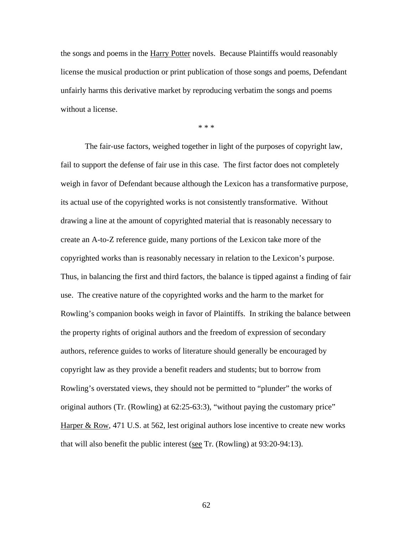the songs and poems in the Harry Potter novels. Because Plaintiffs would reasonably license the musical production or print publication of those songs and poems, Defendant unfairly harms this derivative market by reproducing verbatim the songs and poems without a license.

\* \* \*

The fair-use factors, weighed together in light of the purposes of copyright law, fail to support the defense of fair use in this case. The first factor does not completely weigh in favor of Defendant because although the Lexicon has a transformative purpose, its actual use of the copyrighted works is not consistently transformative. Without drawing a line at the amount of copyrighted material that is reasonably necessary to create an A-to-Z reference guide, many portions of the Lexicon take more of the copyrighted works than is reasonably necessary in relation to the Lexicon's purpose. Thus, in balancing the first and third factors, the balance is tipped against a finding of fair use. The creative nature of the copyrighted works and the harm to the market for Rowling's companion books weigh in favor of Plaintiffs. In striking the balance between the property rights of original authors and the freedom of expression of secondary authors, reference guides to works of literature should generally be encouraged by copyright law as they provide a benefit readers and students; but to borrow from Rowling's overstated views, they should not be permitted to "plunder" the works of original authors (Tr. (Rowling) at 62:25-63:3), "without paying the customary price" Harper & Row, 471 U.S. at 562, lest original authors lose incentive to create new works that will also benefit the public interest (see Tr. (Rowling) at 93:20-94:13).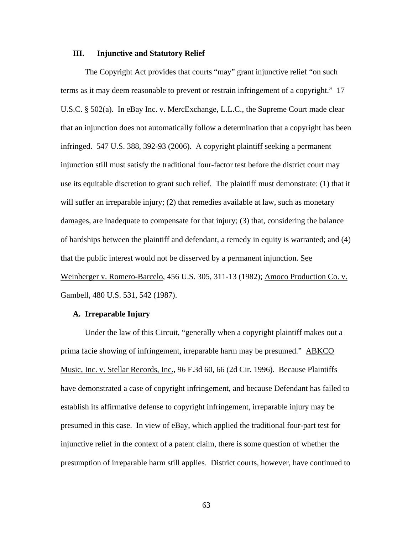#### **III. Injunctive and Statutory Relief**

The Copyright Act provides that courts "may" grant injunctive relief "on such terms as it may deem reasonable to prevent or restrain infringement of a copyright." 17 U.S.C. § 502(a). In eBay Inc. v. MercExchange, L.L.C., the Supreme Court made clear that an injunction does not automatically follow a determination that a copyright has been infringed. 547 U.S. 388, 392-93 (2006). A copyright plaintiff seeking a permanent injunction still must satisfy the traditional four-factor test before the district court may use its equitable discretion to grant such relief. The plaintiff must demonstrate: (1) that it will suffer an irreparable injury; (2) that remedies available at law, such as monetary damages, are inadequate to compensate for that injury; (3) that, considering the balance of hardships between the plaintiff and defendant, a remedy in equity is warranted; and (4) that the public interest would not be disserved by a permanent injunction. See Weinberger v. Romero-Barcelo, 456 U.S. 305, 311-13 (1982); Amoco Production Co. v. Gambell, 480 U.S. 531, 542 (1987).

# **A. Irreparable Injury**

Under the law of this Circuit, "generally when a copyright plaintiff makes out a prima facie showing of infringement, irreparable harm may be presumed." ABKCO Music, Inc. v. Stellar Records, Inc., 96 F.3d 60, 66 (2d Cir. 1996). Because Plaintiffs have demonstrated a case of copyright infringement, and because Defendant has failed to establish its affirmative defense to copyright infringement, irreparable injury may be presumed in this case. In view of eBay, which applied the traditional four-part test for injunctive relief in the context of a patent claim, there is some question of whether the presumption of irreparable harm still applies. District courts, however, have continued to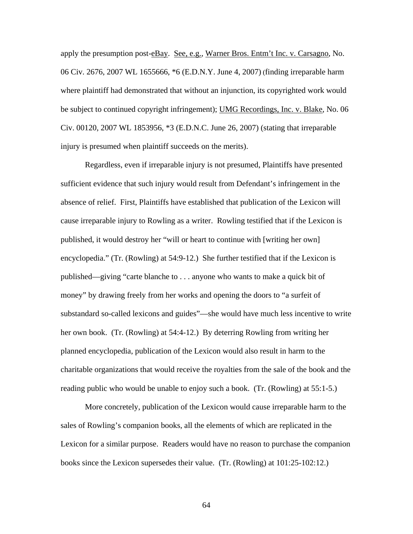apply the presumption post-eBay. See, e.g., Warner Bros. Entm't Inc. v. Carsagno, No. 06 Civ. 2676, 2007 WL 1655666, \*6 (E.D.N.Y. June 4, 2007) (finding irreparable harm where plaintiff had demonstrated that without an injunction, its copyrighted work would be subject to continued copyright infringement); UMG Recordings, Inc. v. Blake, No. 06 Civ. 00120, 2007 WL 1853956, \*3 (E.D.N.C. June 26, 2007) (stating that irreparable injury is presumed when plaintiff succeeds on the merits).

Regardless, even if irreparable injury is not presumed, Plaintiffs have presented sufficient evidence that such injury would result from Defendant's infringement in the absence of relief. First, Plaintiffs have established that publication of the Lexicon will cause irreparable injury to Rowling as a writer. Rowling testified that if the Lexicon is published, it would destroy her "will or heart to continue with [writing her own] encyclopedia." (Tr. (Rowling) at 54:9-12.) She further testified that if the Lexicon is published—giving "carte blanche to . . . anyone who wants to make a quick bit of money" by drawing freely from her works and opening the doors to "a surfeit of substandard so-called lexicons and guides"—she would have much less incentive to write her own book. (Tr. (Rowling) at 54:4-12.) By deterring Rowling from writing her planned encyclopedia, publication of the Lexicon would also result in harm to the charitable organizations that would receive the royalties from the sale of the book and the reading public who would be unable to enjoy such a book. (Tr. (Rowling) at 55:1-5.)

More concretely, publication of the Lexicon would cause irreparable harm to the sales of Rowling's companion books, all the elements of which are replicated in the Lexicon for a similar purpose. Readers would have no reason to purchase the companion books since the Lexicon supersedes their value. (Tr. (Rowling) at 101:25-102:12.)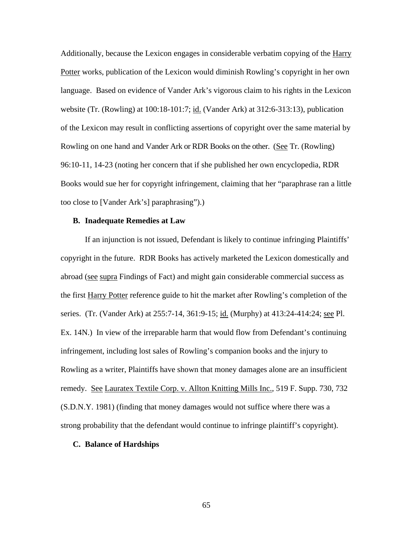Additionally, because the Lexicon engages in considerable verbatim copying of the Harry Potter works, publication of the Lexicon would diminish Rowling's copyright in her own language. Based on evidence of Vander Ark's vigorous claim to his rights in the Lexicon website (Tr. (Rowling) at 100:18-101:7; id. (Vander Ark) at 312:6-313:13), publication of the Lexicon may result in conflicting assertions of copyright over the same material by Rowling on one hand and Vander Ark or RDR Books on the other. (See Tr. (Rowling) 96:10-11, 14-23 (noting her concern that if she published her own encyclopedia, RDR Books would sue her for copyright infringement, claiming that her "paraphrase ran a little too close to [Vander Ark's] paraphrasing").)

# **B. Inadequate Remedies at Law**

If an injunction is not issued, Defendant is likely to continue infringing Plaintiffs' copyright in the future. RDR Books has actively marketed the Lexicon domestically and abroad (see supra Findings of Fact) and might gain considerable commercial success as the first Harry Potter reference guide to hit the market after Rowling's completion of the series. (Tr. (Vander Ark) at 255:7-14, 361:9-15; id. (Murphy) at 413:24-414:24; <u>see</u> Pl. Ex. 14N.) In view of the irreparable harm that would flow from Defendant's continuing infringement, including lost sales of Rowling's companion books and the injury to Rowling as a writer, Plaintiffs have shown that money damages alone are an insufficient remedy. See Lauratex Textile Corp. v. Allton Knitting Mills Inc., 519 F. Supp. 730, 732 (S.D.N.Y. 1981) (finding that money damages would not suffice where there was a strong probability that the defendant would continue to infringe plaintiff's copyright).

#### **C. Balance of Hardships**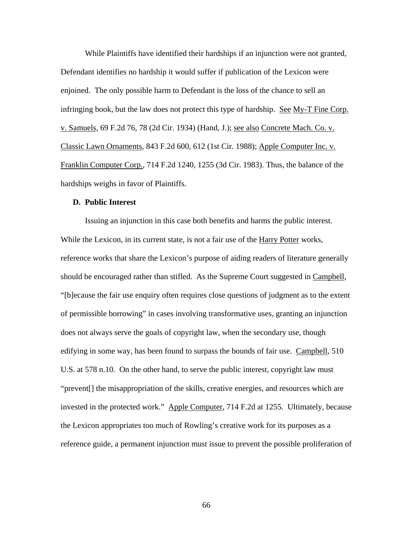While Plaintiffs have identified their hardships if an injunction were not granted, Defendant identifies no hardship it would suffer if publication of the Lexicon were enjoined. The only possible harm to Defendant is the loss of the chance to sell an infringing book, but the law does not protect this type of hardship. See My-T Fine Corp. v. Samuels, 69 F.2d 76, 78 (2d Cir. 1934) (Hand, J.); see also Concrete Mach. Co. v. Classic Lawn Ornaments, 843 F.2d 600, 612 (1st Cir. 1988); Apple Computer Inc. v. Franklin Computer Corp., 714 F.2d 1240, 1255 (3d Cir. 1983). Thus, the balance of the hardships weighs in favor of Plaintiffs.

# **D. Public Interest**

Issuing an injunction in this case both benefits and harms the public interest. While the Lexicon, in its current state, is not a fair use of the Harry Potter works, reference works that share the Lexicon's purpose of aiding readers of literature generally should be encouraged rather than stifled. As the Supreme Court suggested in Campbell, "[b]ecause the fair use enquiry often requires close questions of judgment as to the extent of permissible borrowing" in cases involving transformative uses, granting an injunction does not always serve the goals of copyright law, when the secondary use, though edifying in some way, has been found to surpass the bounds of fair use. Campbell, 510 U.S. at 578 n.10. On the other hand, to serve the public interest, copyright law must "prevent[] the misappropriation of the skills, creative energies, and resources which are invested in the protected work." Apple Computer, 714 F.2d at 1255. Ultimately, because the Lexicon appropriates too much of Rowling's creative work for its purposes as a reference guide, a permanent injunction must issue to prevent the possible proliferation of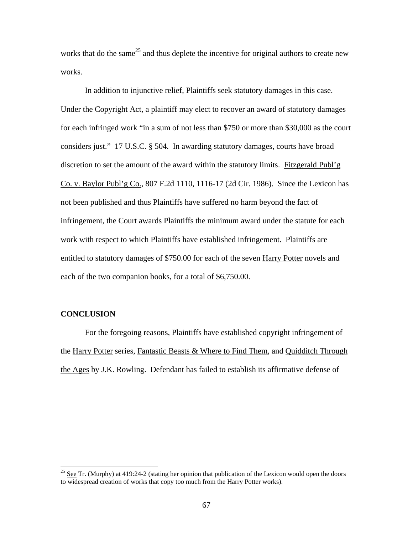works that do the same<sup>25</sup> and thus deplete the incentive for original authors to create new works.

In addition to injunctive relief, Plaintiffs seek statutory damages in this case. Under the Copyright Act, a plaintiff may elect to recover an award of statutory damages for each infringed work "in a sum of not less than \$750 or more than \$30,000 as the court considers just." 17 U.S.C. § 504. In awarding statutory damages, courts have broad discretion to set the amount of the award within the statutory limits. Fitzgerald Publ'g Co. v. Baylor Publ'g Co., 807 F.2d 1110, 1116-17 (2d Cir. 1986). Since the Lexicon has not been published and thus Plaintiffs have suffered no harm beyond the fact of infringement, the Court awards Plaintiffs the minimum award under the statute for each work with respect to which Plaintiffs have established infringement. Plaintiffs are entitled to statutory damages of \$750.00 for each of the seven Harry Potter novels and each of the two companion books, for a total of \$6,750.00.

# **CONCLUSION**

1

 For the foregoing reasons, Plaintiffs have established copyright infringement of the Harry Potter series, Fantastic Beasts & Where to Find Them, and Quidditch Through the Ages by J.K. Rowling. Defendant has failed to establish its affirmative defense of

 $25$  See Tr. (Murphy) at 419:24-2 (stating her opinion that publication of the Lexicon would open the doors to widespread creation of works that copy too much from the Harry Potter works).